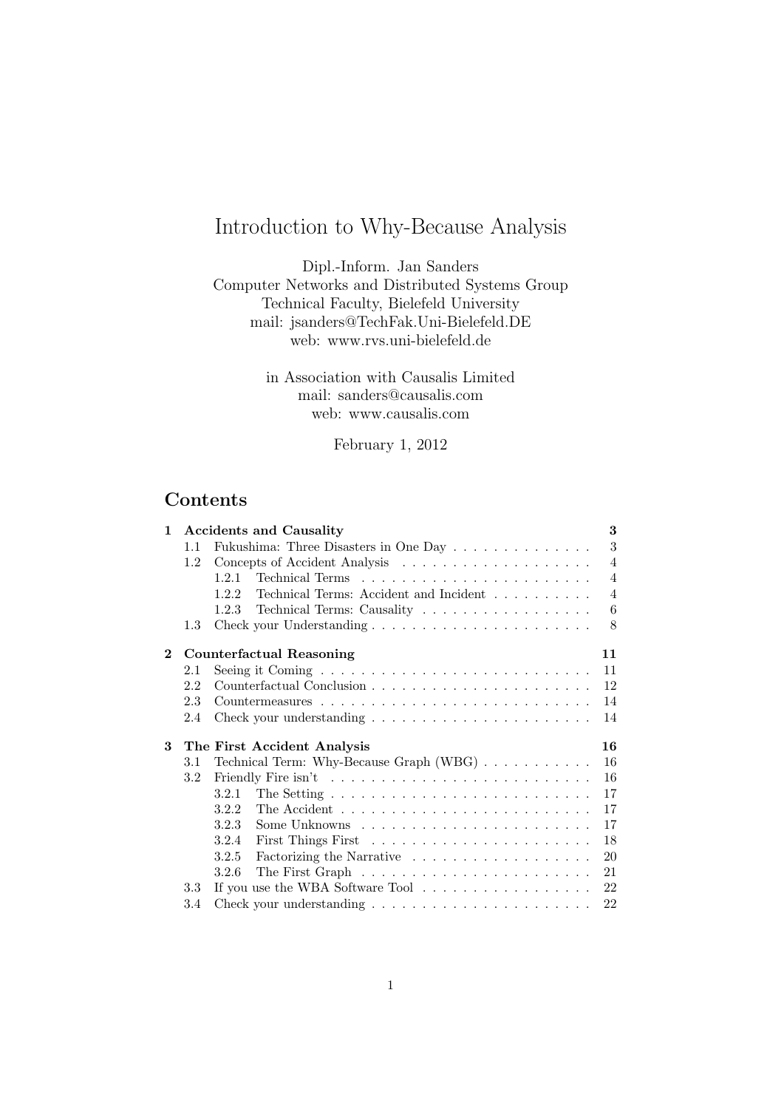# Introduction to Why-Because Analysis

Dipl.-Inform. Jan Sanders Computer Networks and Distributed Systems Group Technical Faculty, Bielefeld University mail: jsanders@TechFak.Uni-Bielefeld.DE web: www.rvs.uni-bielefeld.de

> in Association with Causalis Limited mail: sanders@causalis.com web: www.causalis.com

> > February 1, 2012

# Contents

| $\mathbf{1}$   |     | <b>Accidents and Causality</b>                                             | 3              |
|----------------|-----|----------------------------------------------------------------------------|----------------|
|                | 1.1 | Fukushima: Three Disasters in One Day $\ldots \ldots \ldots \ldots \ldots$ | 3              |
|                | 1.2 |                                                                            | $\overline{4}$ |
|                |     | 1.2.1                                                                      | $\overline{4}$ |
|                |     | Technical Terms: Accident and Incident<br>1.2.2                            | $\overline{4}$ |
|                |     | Technical Terms: Causality<br>1.2.3                                        | 6              |
|                | 1.3 |                                                                            | 8              |
| $\overline{2}$ |     | <b>Counterfactual Reasoning</b>                                            | 11             |
|                | 2.1 |                                                                            | 11             |
|                | 2.2 |                                                                            | 12             |
|                | 2.3 |                                                                            | 14             |
|                | 2.4 |                                                                            | 14             |
| 3              |     | The First Accident Analysis                                                | 16             |
|                | 3.1 | Technical Term: Why-Because Graph (WBG)                                    | 16             |
|                | 3.2 |                                                                            | 16             |
|                |     |                                                                            | 17             |
|                |     | 3.2.2                                                                      | 17             |
|                |     | 3.2.3                                                                      | 17             |
|                |     | 3.2.4                                                                      | 18             |
|                |     | 3.2.5                                                                      | 20             |
|                |     | 3.2.6                                                                      | 21             |
|                | 3.3 |                                                                            | 22             |
|                | 3.4 |                                                                            | 22             |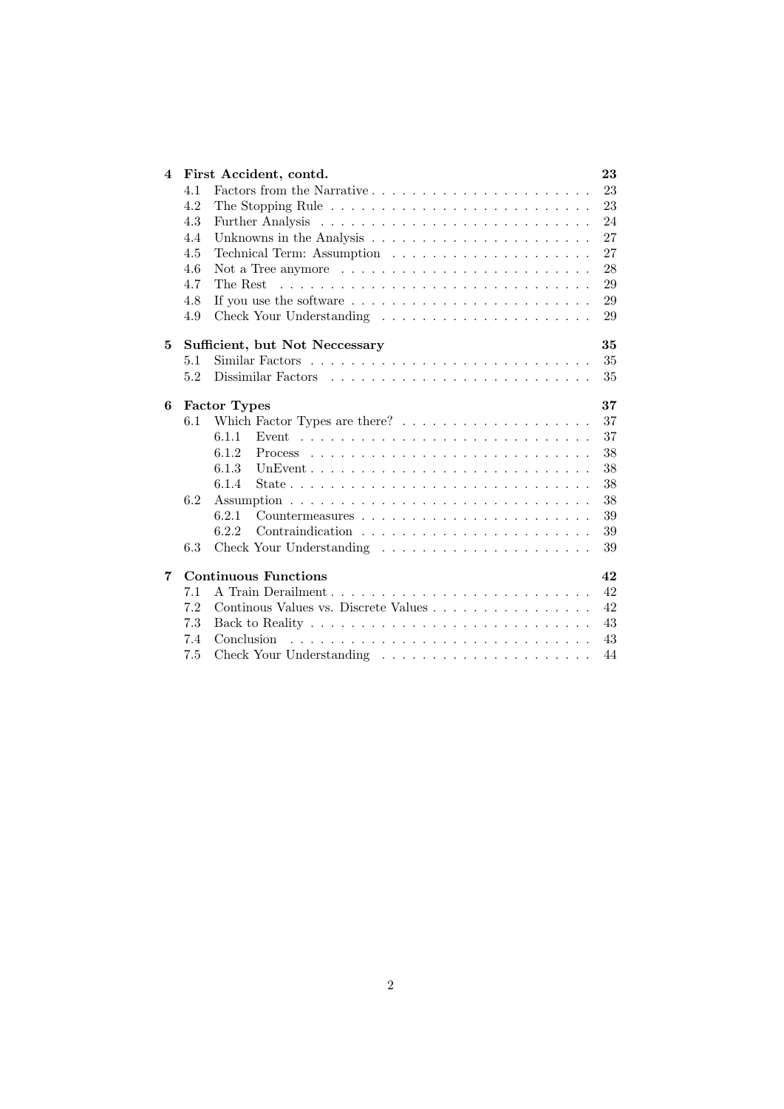| 4 |     | First Accident, contd.                                                           | 23 |
|---|-----|----------------------------------------------------------------------------------|----|
|   | 4.1 |                                                                                  | 23 |
|   | 4.2 | The Stopping Rule $\dots \dots \dots \dots \dots \dots \dots \dots \dots \dots$  | 23 |
|   | 4.3 |                                                                                  | 24 |
|   | 4.4 |                                                                                  | 27 |
|   | 4.5 |                                                                                  | 27 |
|   | 4.6 | Not a Tree anymore $\dots \dots \dots \dots \dots \dots \dots \dots \dots \dots$ | 28 |
|   | 4.7 | The Rest                                                                         | 29 |
|   | 4.8 | If you use the software $\dots \dots \dots \dots \dots \dots \dots \dots \dots$  | 29 |
|   | 4.9 |                                                                                  | 29 |
| 5 |     | Sufficient, but Not Neccessary                                                   | 35 |
|   | 5.1 |                                                                                  | 35 |
|   | 5.2 |                                                                                  | 35 |
| 6 |     | <b>Factor Types</b>                                                              | 37 |
|   | 6.1 |                                                                                  | 37 |
|   |     | 6.1.1                                                                            | 37 |
|   |     | 6.1.2                                                                            | 38 |
|   |     | 6.1.3                                                                            | 38 |
|   |     | 6.1.4                                                                            | 38 |
|   | 6.2 |                                                                                  | 38 |
|   |     | 6.2.1                                                                            | 39 |
|   |     | 6.2.2                                                                            | 39 |
|   | 6.3 |                                                                                  | 39 |
| 7 |     | <b>Continuous Functions</b>                                                      | 42 |
|   | 7.1 | A Train Derailment                                                               | 42 |
|   | 7.2 | Continous Values vs. Discrete Values                                             | 42 |
|   | 7.3 |                                                                                  | 43 |
|   | 7.4 | Conclusion                                                                       | 43 |
|   | 7.5 |                                                                                  | 44 |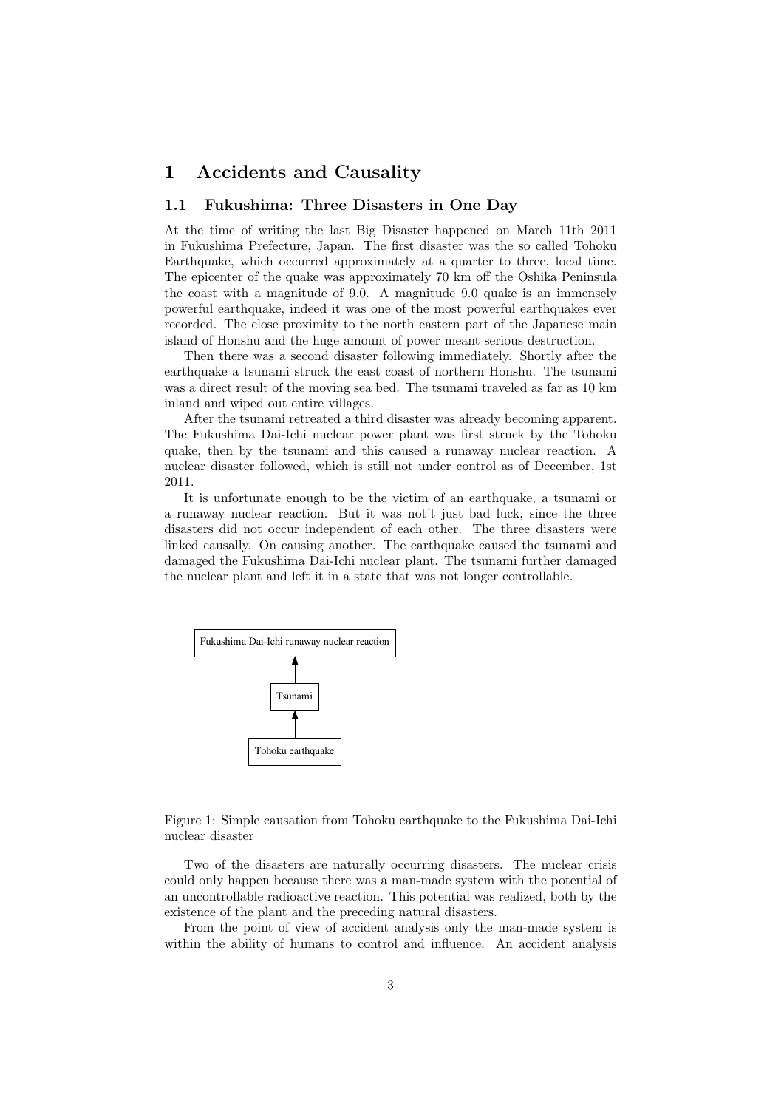# 1 Accidents and Causality

### 1.1 Fukushima: Three Disasters in One Day

At the time of writing the last Big Disaster happened on March 11th 2011 in Fukushima Prefecture, Japan. The first disaster was the so called Tohoku Earthquake, which occurred approximately at a quarter to three, local time. The epicenter of the quake was approximately 70 km off the Oshika Peninsula the coast with a magnitude of 9.0. A magnitude 9.0 quake is an immensely powerful earthquake, indeed it was one of the most powerful earthquakes ever recorded. The close proximity to the north eastern part of the Japanese main island of Honshu and the huge amount of power meant serious destruction.

Then there was a second disaster following immediately. Shortly after the earthquake a tsunami struck the east coast of northern Honshu. The tsunami was a direct result of the moving sea bed. The tsunami traveled as far as 10 km inland and wiped out entire villages.

After the tsunami retreated a third disaster was already becoming apparent. The Fukushima Dai-Ichi nuclear power plant was first struck by the Tohoku quake, then by the tsunami and this caused a runaway nuclear reaction. A nuclear disaster followed, which is still not under control as of December, 1st 2011.

It is unfortunate enough to be the victim of an earthquake, a tsunami or a runaway nuclear reaction. But it was not't just bad luck, since the three disasters did not occur independent of each other. The three disasters were linked causally. On causing another. The earthquake caused the tsunami and damaged the Fukushima Dai-Ichi nuclear plant. The tsunami further damaged the nuclear plant and left it in a state that was not longer controllable.



Figure 1: Simple causation from Tohoku earthquake to the Fukushima Dai-Ichi nuclear disaster

Two of the disasters are naturally occurring disasters. The nuclear crisis could only happen because there was a man-made system with the potential of an uncontrollable radioactive reaction. This potential was realized, both by the existence of the plant and the preceding natural disasters.

From the point of view of accident analysis only the man-made system is within the ability of humans to control and influence. An accident analysis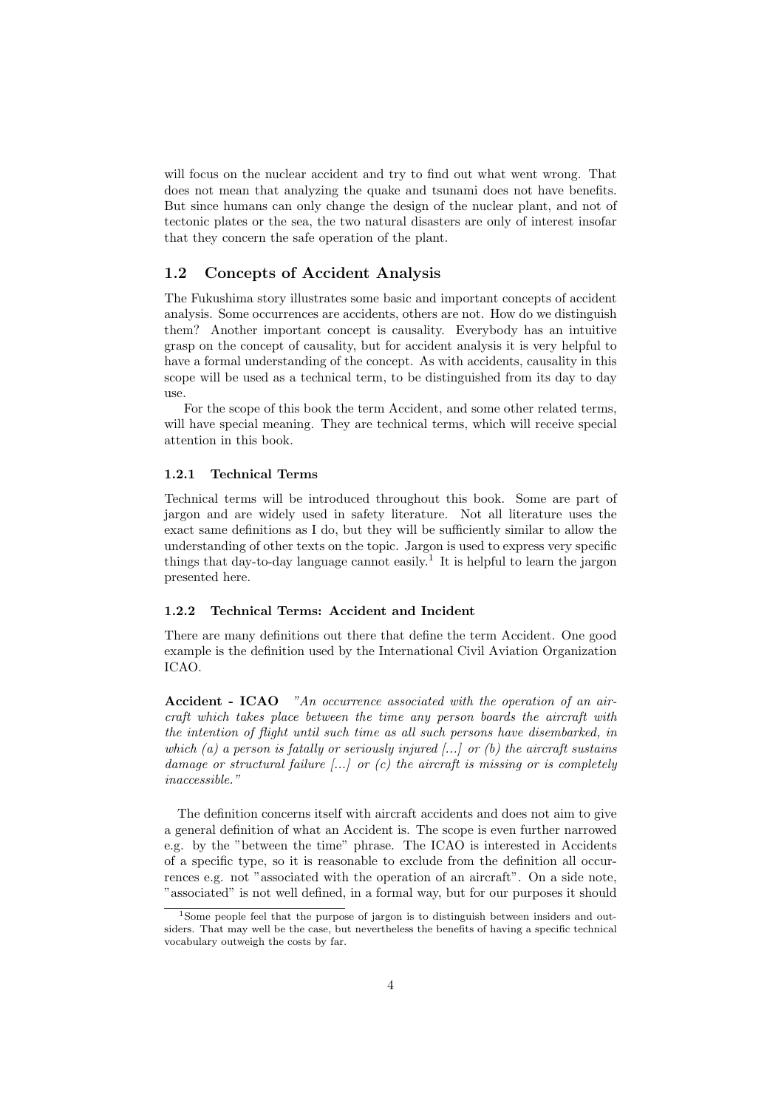will focus on the nuclear accident and try to find out what went wrong. That does not mean that analyzing the quake and tsunami does not have benefits. But since humans can only change the design of the nuclear plant, and not of tectonic plates or the sea, the two natural disasters are only of interest insofar that they concern the safe operation of the plant.

### 1.2 Concepts of Accident Analysis

The Fukushima story illustrates some basic and important concepts of accident analysis. Some occurrences are accidents, others are not. How do we distinguish them? Another important concept is causality. Everybody has an intuitive grasp on the concept of causality, but for accident analysis it is very helpful to have a formal understanding of the concept. As with accidents, causality in this scope will be used as a technical term, to be distinguished from its day to day  $11S<sub>P</sub>$ 

For the scope of this book the term Accident, and some other related terms, will have special meaning. They are technical terms, which will receive special attention in this book.

#### 1.2.1 Technical Terms

Technical terms will be introduced throughout this book. Some are part of jargon and are widely used in safety literature. Not all literature uses the exact same definitions as I do, but they will be sufficiently similar to allow the understanding of other texts on the topic. Jargon is used to express very specific things that day-to-day language cannot easily.<sup>1</sup> It is helpful to learn the jargon presented here.

#### 1.2.2 Technical Terms: Accident and Incident

There are many definitions out there that define the term Accident. One good example is the definition used by the International Civil Aviation Organization ICAO.

Accident - ICAO "An occurrence associated with the operation of an aircraft which takes place between the time any person boards the aircraft with the intention of flight until such time as all such persons have disembarked, in which (a) a person is fatally or seriously injured  $\ldots$  or (b) the aircraft sustains damage or structural failure  $\left[\ldots\right]$  or  $(c)$  the aircraft is missing or is completely inaccessible."

The definition concerns itself with aircraft accidents and does not aim to give a general definition of what an Accident is. The scope is even further narrowed e.g. by the "between the time" phrase. The ICAO is interested in Accidents of a specific type, so it is reasonable to exclude from the definition all occurrences e.g. not "associated with the operation of an aircraft". On a side note, "associated" is not well defined, in a formal way, but for our purposes it should

<sup>&</sup>lt;sup>1</sup>Some people feel that the purpose of jargon is to distinguish between insiders and outsiders. That may well be the case, but nevertheless the benefits of having a specific technical vocabulary outweigh the costs by far.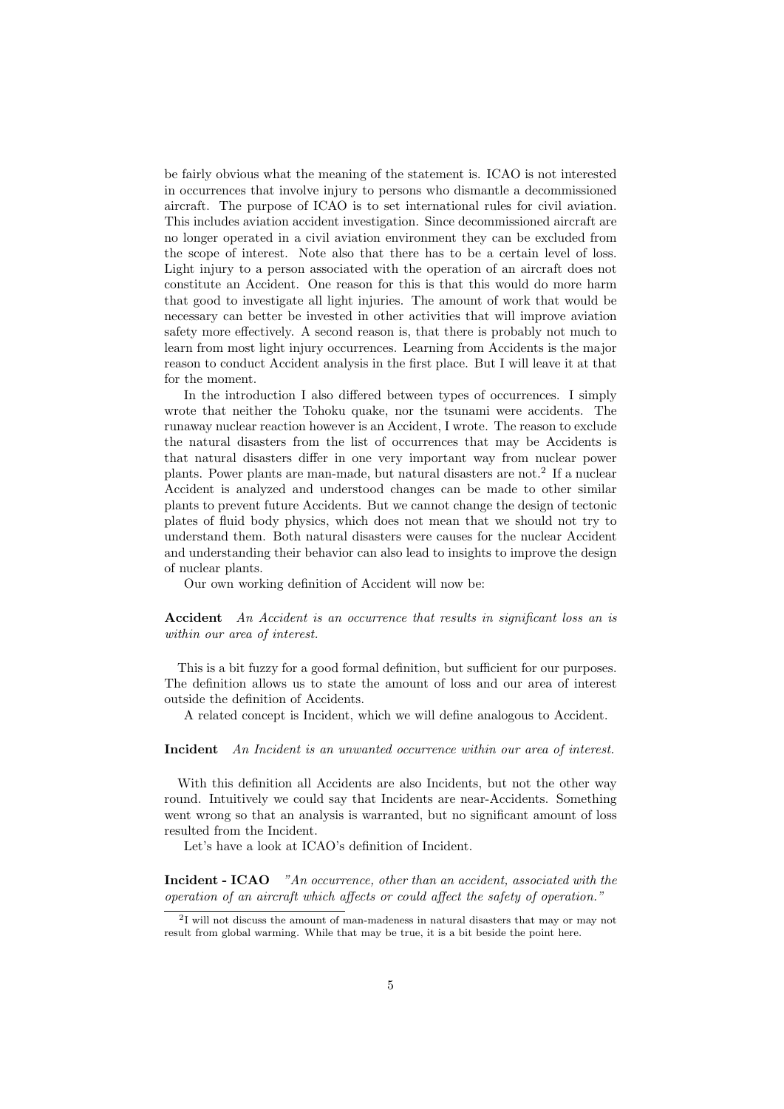be fairly obvious what the meaning of the statement is. ICAO is not interested in occurrences that involve injury to persons who dismantle a decommissioned aircraft. The purpose of ICAO is to set international rules for civil aviation. This includes aviation accident investigation. Since decommissioned aircraft are no longer operated in a civil aviation environment they can be excluded from the scope of interest. Note also that there has to be a certain level of loss. Light injury to a person associated with the operation of an aircraft does not constitute an Accident. One reason for this is that this would do more harm that good to investigate all light injuries. The amount of work that would be necessary can better be invested in other activities that will improve aviation safety more effectively. A second reason is, that there is probably not much to learn from most light injury occurrences. Learning from Accidents is the major reason to conduct Accident analysis in the first place. But I will leave it at that for the moment.

In the introduction I also differed between types of occurrences. I simply wrote that neither the Tohoku quake, nor the tsunami were accidents. The runaway nuclear reaction however is an Accident, I wrote. The reason to exclude the natural disasters from the list of occurrences that may be Accidents is that natural disasters differ in one very important way from nuclear power plants. Power plants are man-made, but natural disasters are not.<sup>2</sup> If a nuclear Accident is analyzed and understood changes can be made to other similar plants to prevent future Accidents. But we cannot change the design of tectonic plates of fluid body physics, which does not mean that we should not try to understand them. Both natural disasters were causes for the nuclear Accident and understanding their behavior can also lead to insights to improve the design of nuclear plants.

Our own working definition of Accident will now be:

Accident An Accident is an occurrence that results in significant loss an is within our area of interest.

This is a bit fuzzy for a good formal definition, but sufficient for our purposes. The definition allows us to state the amount of loss and our area of interest outside the definition of Accidents.

A related concept is Incident, which we will define analogous to Accident.

Incident An Incident is an unwanted occurrence within our area of interest.

With this definition all Accidents are also Incidents, but not the other way round. Intuitively we could say that Incidents are near-Accidents. Something went wrong so that an analysis is warranted, but no significant amount of loss resulted from the Incident.

Let's have a look at ICAO's definition of Incident.

Incident - ICAO "An occurrence, other than an accident, associated with the operation of an aircraft which affects or could affect the safety of operation."

<sup>&</sup>lt;sup>2</sup>I will not discuss the amount of man-madeness in natural disasters that may or may not result from global warming. While that may be true, it is a bit beside the point here.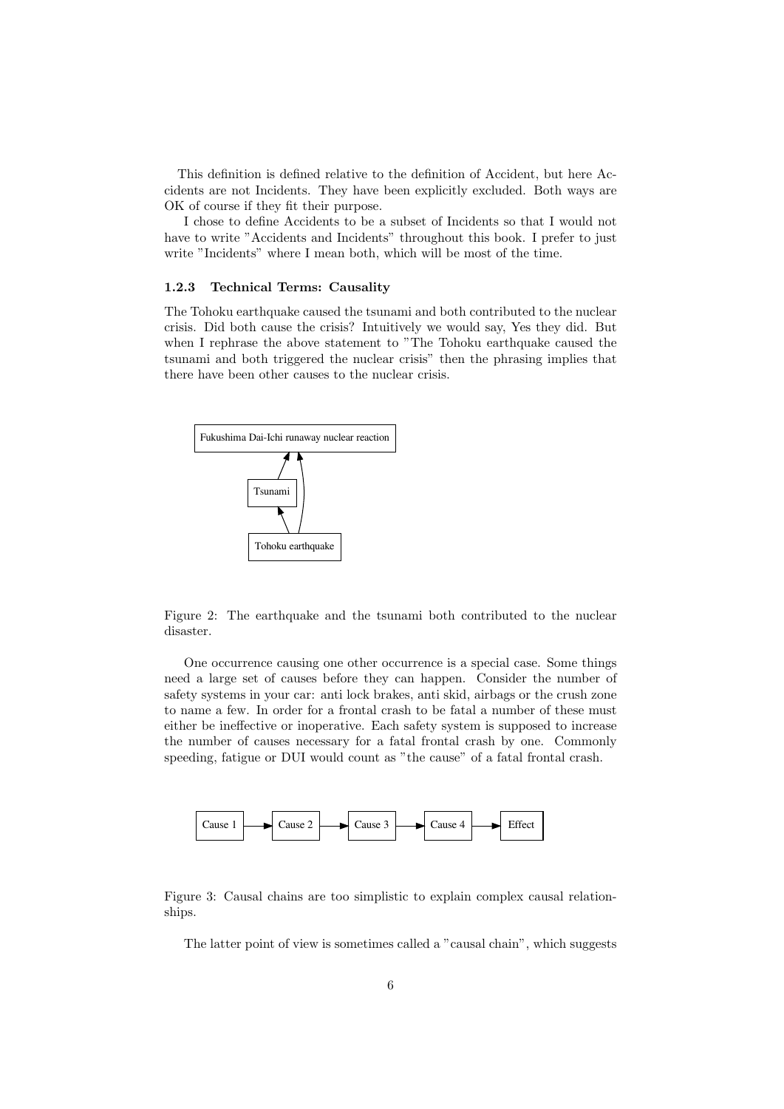This definition is defined relative to the definition of Accident, but here Accidents are not Incidents. They have been explicitly excluded. Both ways are OK of course if they fit their purpose.

I chose to define Accidents to be a subset of Incidents so that I would not have to write "Accidents and Incidents" throughout this book. I prefer to just write "Incidents" where I mean both, which will be most of the time.

#### 1.2.3 Technical Terms: Causality

The Tohoku earthquake caused the tsunami and both contributed to the nuclear crisis. Did both cause the crisis? Intuitively we would say, Yes they did. But when I rephrase the above statement to "The Tohoku earthquake caused the tsunami and both triggered the nuclear crisis" then the phrasing implies that there have been other causes to the nuclear crisis.



Figure 2: The earthquake and the tsunami both contributed to the nuclear disaster.

One occurrence causing one other occurrence is a special case. Some things need a large set of causes before they can happen. Consider the number of safety systems in your car: anti lock brakes, anti skid, airbags or the crush zone to name a few. In order for a frontal crash to be fatal a number of these must either be ineffective or inoperative. Each safety system is supposed to increase the number of causes necessary for a fatal frontal crash by one. Commonly speeding, fatigue or DUI would count as "the cause" of a fatal frontal crash.



Figure 3: Causal chains are too simplistic to explain complex causal relationships.

The latter point of view is sometimes called a "causal chain", which suggests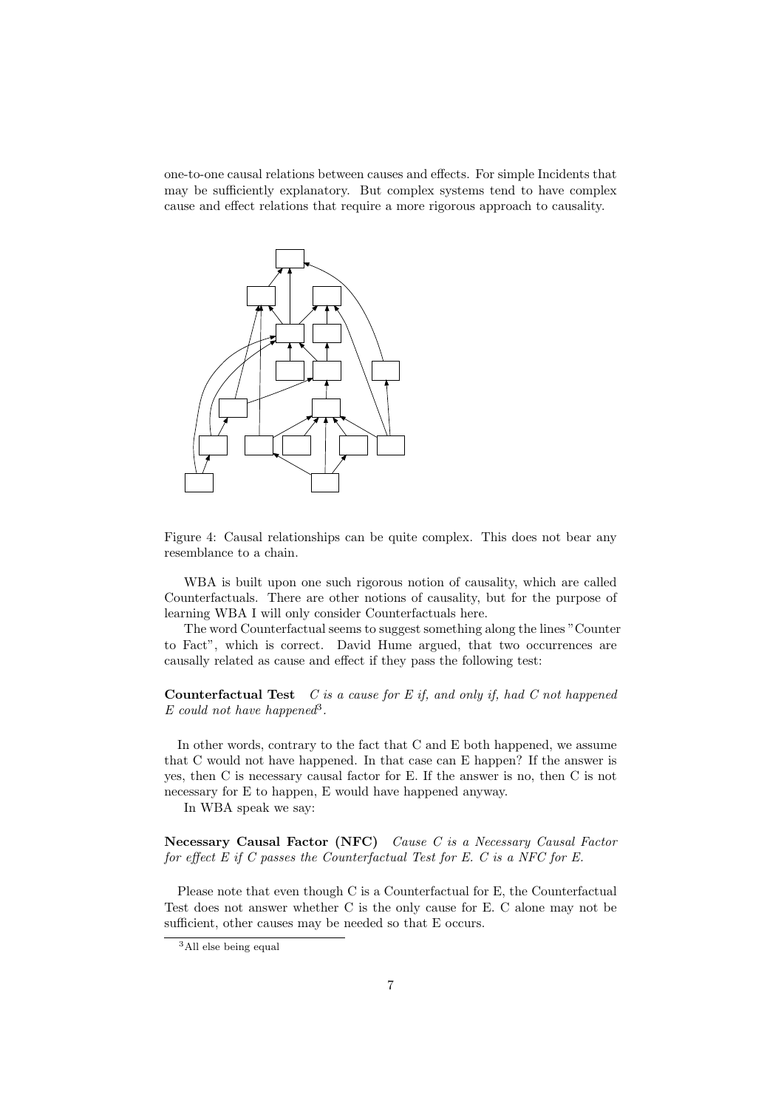one-to-one causal relations between causes and effects. For simple Incidents that may be sufficiently explanatory. But complex systems tend to have complex cause and effect relations that require a more rigorous approach to causality.



Figure 4: Causal relationships can be quite complex. This does not bear any resemblance to a chain.

WBA is built upon one such rigorous notion of causality, which are called Counterfactuals. There are other notions of causality, but for the purpose of learning WBA I will only consider Counterfactuals here.

The word Counterfactual seems to suggest something along the lines "Counter to Fact", which is correct. David Hume argued, that two occurrences are causally related as cause and effect if they pass the following test:

**Counterfactual Test**  $C$  is a cause for  $E$  if, and only if, had  $C$  not happened  $E$  could not have happened<sup>3</sup>.

In other words, contrary to the fact that C and E both happened, we assume that C would not have happened. In that case can E happen? If the answer is yes, then C is necessary causal factor for E. If the answer is no, then C is not necessary for E to happen, E would have happened anyway.

In WBA speak we say:

Necessary Causal Factor (NFC) Cause C is a Necessary Causal Factor for effect E if C passes the Counterfactual Test for E. C is a NFC for E.

Please note that even though C is a Counterfactual for E, the Counterfactual Test does not answer whether C is the only cause for E. C alone may not be sufficient, other causes may be needed so that E occurs.

<sup>&</sup>lt;sup>3</sup>All else being equal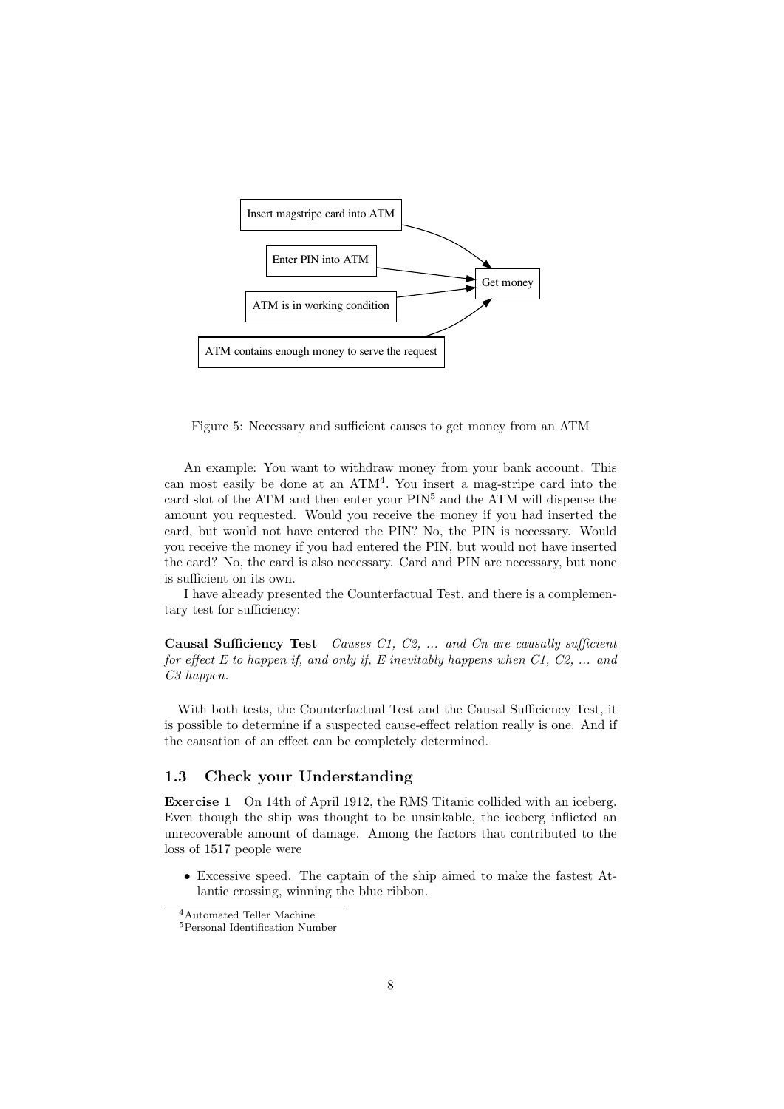

Figure 5: Necessary and sufficient causes to get money from an ATM

An example: You want to withdraw money from your bank account. This can most easily be done at an  $ATM<sup>4</sup>$ . You insert a mag-stripe card into the card slot of the ATM and then enter your  $\text{PIN}^5$  and the ATM will dispense the amount you requested. Would you receive the money if you had inserted the card, but would not have entered the PIN? No, the PIN is necessary. Would you receive the money if you had entered the PIN, but would not have inserted the card? No, the card is also necessary. Card and PIN are necessary, but none is sufficient on its own.

I have already presented the Counterfactual Test, and there is a complementary test for sufficiency:

Causal Sufficiency Test Causes C1, C2, ... and Cn are causally sufficient for effect  $E$  to happen if, and only if,  $E$  inevitably happens when  $C1$ ,  $C2$ , ... and C<sub>3</sub> happen.

With both tests, the Counterfactual Test and the Causal Sufficiency Test, it is possible to determine if a suspected cause-effect relation really is one. And if the causation of an effect can be completely determined.

### 1.3 Check your Understanding

Exercise 1 On 14th of April 1912, the RMS Titanic collided with an iceberg. Even though the ship was thought to be unsinkable, the iceberg inflicted an unrecoverable amount of damage. Among the factors that contributed to the loss of 1517 people were

• Excessive speed. The captain of the ship aimed to make the fastest Atlantic crossing, winning the blue ribbon.

<sup>4</sup>Automated Teller Machine

<sup>5</sup>Personal Identification Number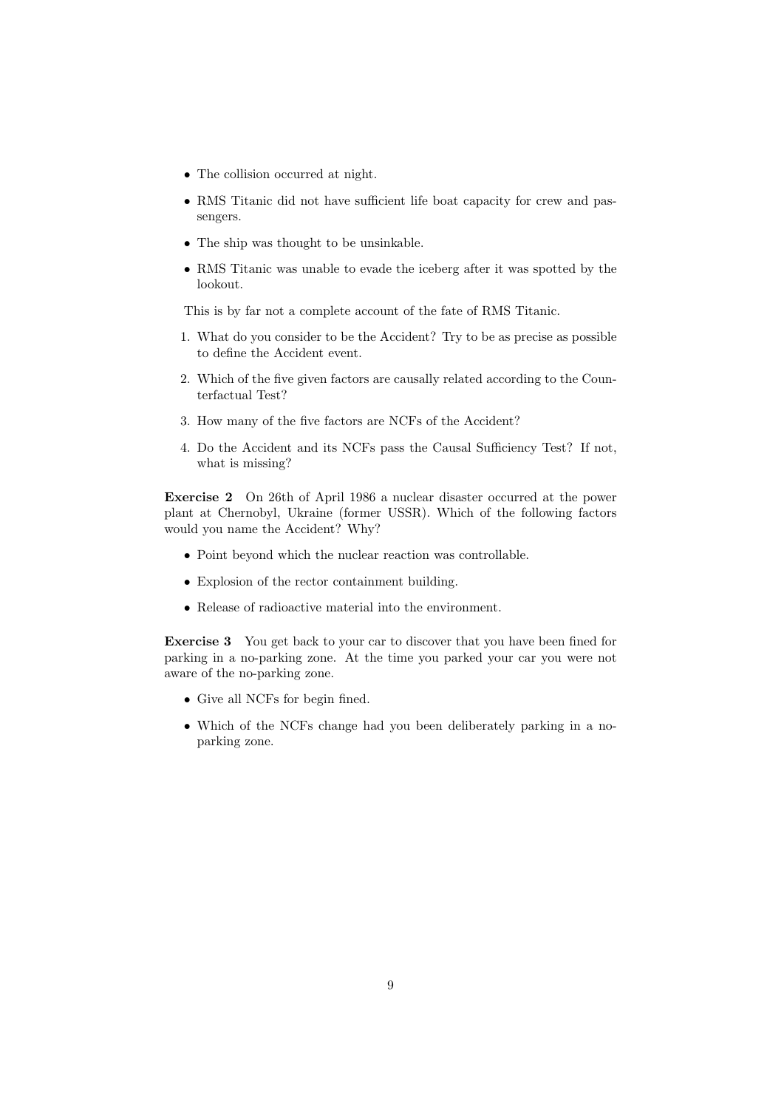- The collision occurred at night.
- RMS Titanic did not have sufficient life boat capacity for crew and passengers.
- The ship was thought to be unsinkable.
- RMS Titanic was unable to evade the iceberg after it was spotted by the lookout.

This is by far not a complete account of the fate of RMS Titanic.

- 1. What do you consider to be the Accident? Try to be as precise as possible to define the Accident event.
- 2. Which of the five given factors are causally related according to the Counterfactual Test?
- 3. How many of the five factors are NCFs of the Accident?
- 4. Do the Accident and its NCFs pass the Causal Sufficiency Test? If not, what is missing?

Exercise 2 On 26th of April 1986 a nuclear disaster occurred at the power plant at Chernobyl, Ukraine (former USSR). Which of the following factors would you name the Accident? Why?

- Point beyond which the nuclear reaction was controllable.
- Explosion of the rector containment building.
- Release of radioactive material into the environment.

Exercise 3 You get back to your car to discover that you have been fined for parking in a no-parking zone. At the time you parked your car you were not aware of the no-parking zone.

- Give all NCFs for begin fined.
- Which of the NCFs change had you been deliberately parking in a noparking zone.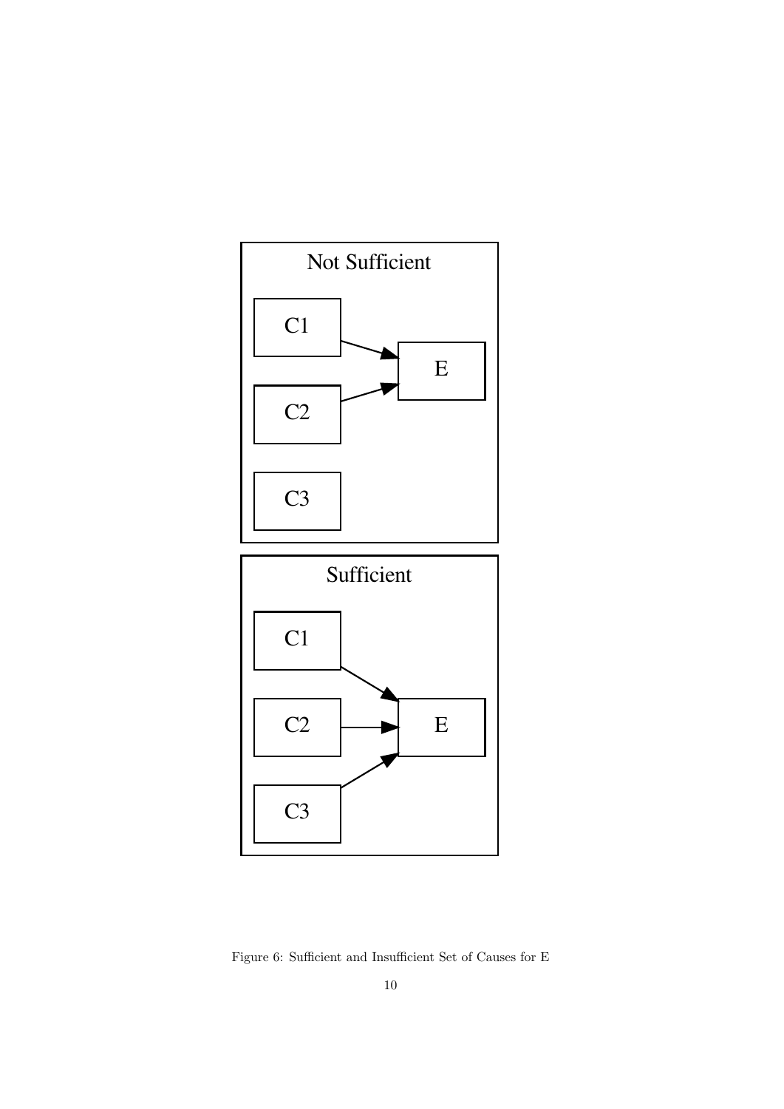



Figure 6: Sufficient and Insufficient Set of Causes for E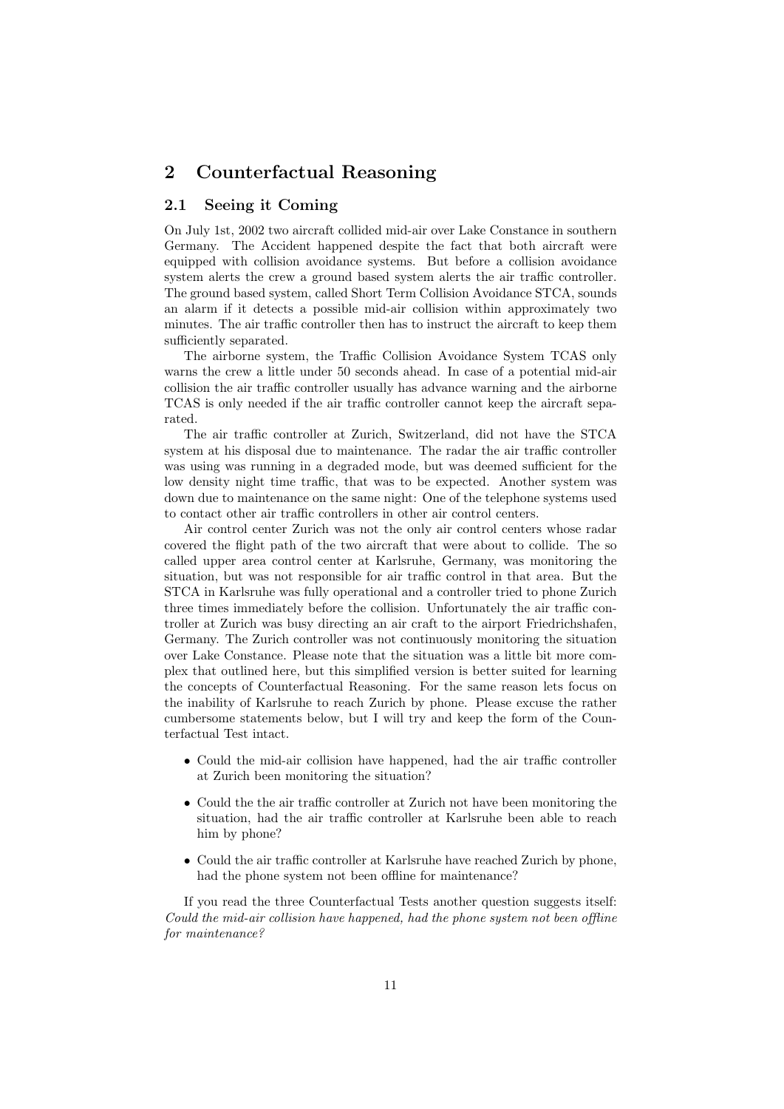# 2 Counterfactual Reasoning

### 2.1 Seeing it Coming

On July 1st, 2002 two aircraft collided mid-air over Lake Constance in southern Germany. The Accident happened despite the fact that both aircraft were equipped with collision avoidance systems. But before a collision avoidance system alerts the crew a ground based system alerts the air traffic controller. The ground based system, called Short Term Collision Avoidance STCA, sounds an alarm if it detects a possible mid-air collision within approximately two minutes. The air traffic controller then has to instruct the aircraft to keep them sufficiently separated.

The airborne system, the Traffic Collision Avoidance System TCAS only warns the crew a little under 50 seconds ahead. In case of a potential mid-air collision the air traffic controller usually has advance warning and the airborne TCAS is only needed if the air traffic controller cannot keep the aircraft separated.

The air traffic controller at Zurich, Switzerland, did not have the STCA system at his disposal due to maintenance. The radar the air traffic controller was using was running in a degraded mode, but was deemed sufficient for the low density night time traffic, that was to be expected. Another system was down due to maintenance on the same night: One of the telephone systems used to contact other air traffic controllers in other air control centers.

Air control center Zurich was not the only air control centers whose radar covered the flight path of the two aircraft that were about to collide. The so called upper area control center at Karlsruhe, Germany, was monitoring the situation, but was not responsible for air traffic control in that area. But the STCA in Karlsruhe was fully operational and a controller tried to phone Zurich three times immediately before the collision. Unfortunately the air traffic controller at Zurich was busy directing an air craft to the airport Friedrichshafen, Germany. The Zurich controller was not continuously monitoring the situation over Lake Constance. Please note that the situation was a little bit more complex that outlined here, but this simplified version is better suited for learning the concepts of Counterfactual Reasoning. For the same reason lets focus on the inability of Karlsruhe to reach Zurich by phone. Please excuse the rather cumbersome statements below, but I will try and keep the form of the Counterfactual Test intact.

- Could the mid-air collision have happened, had the air traffic controller at Zurich been monitoring the situation?
- Could the the air traffic controller at Zurich not have been monitoring the situation, had the air traffic controller at Karlsruhe been able to reach him by phone?
- Could the air traffic controller at Karlsruhe have reached Zurich by phone, had the phone system not been offline for maintenance?

If you read the three Counterfactual Tests another question suggests itself: Could the mid-air collision have happened, had the phone system not been offline for maintenance?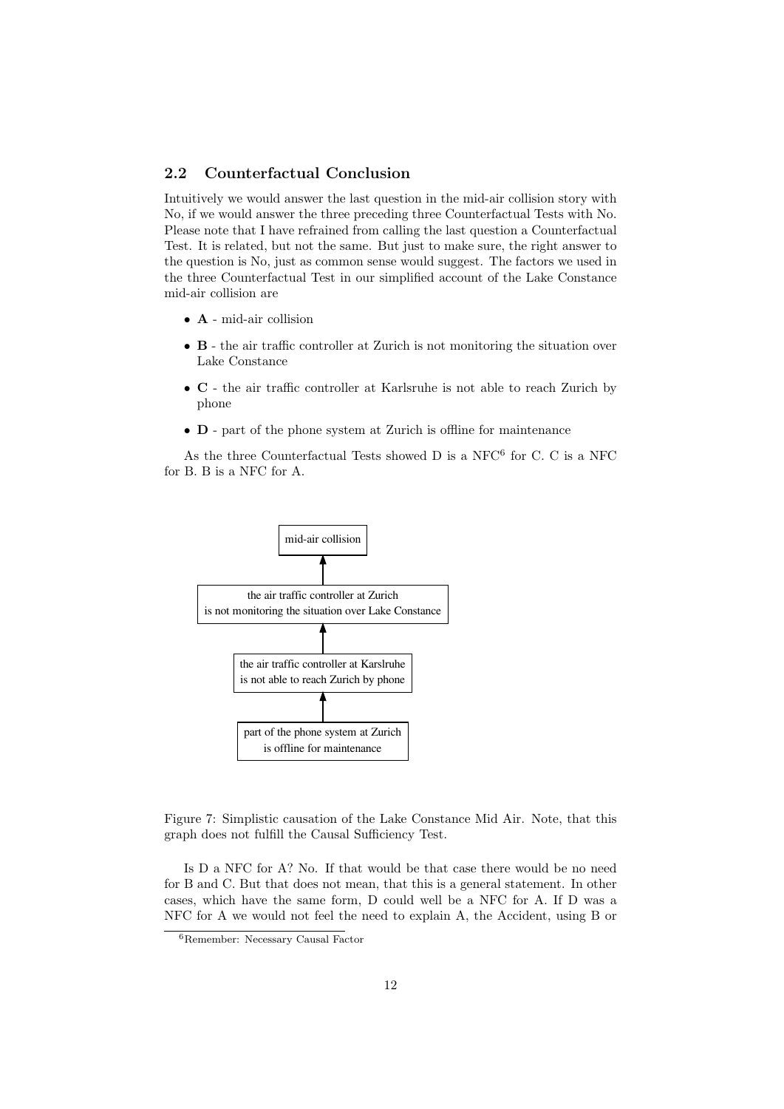### 2.2 Counterfactual Conclusion

Intuitively we would answer the last question in the mid-air collision story with No, if we would answer the three preceding three Counterfactual Tests with No. Please note that I have refrained from calling the last question a Counterfactual Test. It is related, but not the same. But just to make sure, the right answer to the question is No, just as common sense would suggest. The factors we used in the three Counterfactual Test in our simplified account of the Lake Constance mid-air collision are

- A mid-air collision
- B the air traffic controller at Zurich is not monitoring the situation over Lake Constance
- C the air traffic controller at Karlsruhe is not able to reach Zurich by phone
- D part of the phone system at Zurich is offline for maintenance

As the three Counterfactual Tests showed  $D$  is a NFC $^6$  for C. C is a NFC for B. B is a NFC for A.



Figure 7: Simplistic causation of the Lake Constance Mid Air. Note, that this graph does not fulfill the Causal Sufficiency Test.

Is D a NFC for A? No. If that would be that case there would be no need for B and C. But that does not mean, that this is a general statement. In other cases, which have the same form, D could well be a NFC for A. If D was a NFC for A we would not feel the need to explain A, the Accident, using B or

<sup>6</sup>Remember: Necessary Causal Factor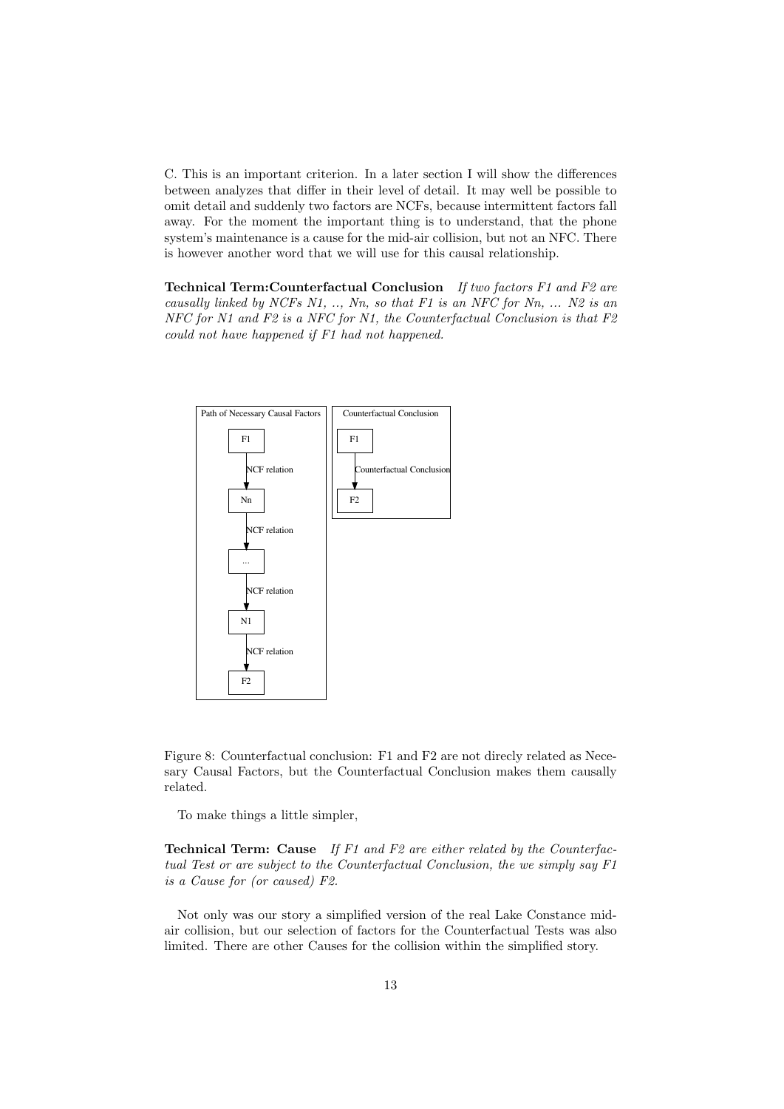C. This is an important criterion. In a later section I will show the differences between analyzes that differ in their level of detail. It may well be possible to omit detail and suddenly two factors are NCFs, because intermittent factors fall away. For the moment the important thing is to understand, that the phone system's maintenance is a cause for the mid-air collision, but not an NFC. There is however another word that we will use for this causal relationship.

**Technical Term: Counterfactual Conclusion** If two factors  $F1$  and  $F2$  are causally linked by NCFs N1, .., Nn, so that F1 is an NFC for Nn, ... N2 is an NFC for N1 and F2 is a NFC for N1, the Counterfactual Conclusion is that F2 could not have happened if F1 had not happened.



Figure 8: Counterfactual conclusion: F1 and F2 are not direcly related as Necesary Causal Factors, but the Counterfactual Conclusion makes them causally related.

To make things a little simpler,

**Technical Term:** Cause If F1 and F2 are either related by the Counterfactual Test or are subject to the Counterfactual Conclusion, the we simply say F1 is a Cause for (or caused) F2.

Not only was our story a simplified version of the real Lake Constance midair collision, but our selection of factors for the Counterfactual Tests was also limited. There are other Causes for the collision within the simplified story.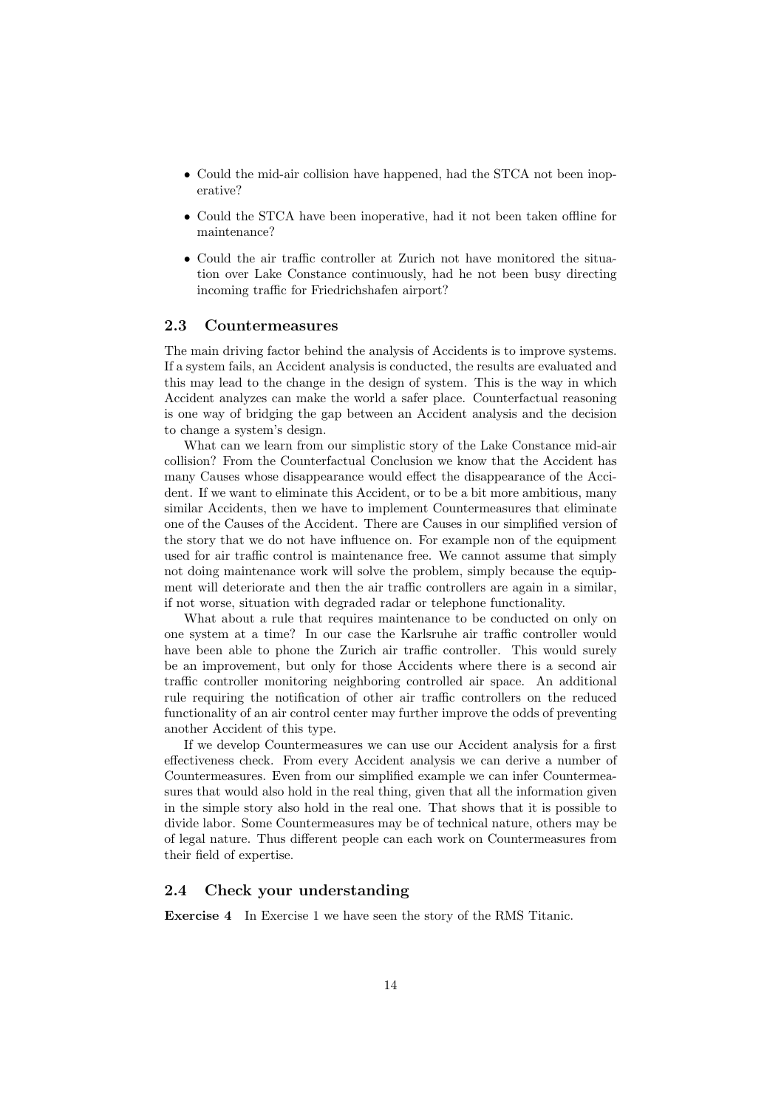- Could the mid-air collision have happened, had the STCA not been inoperative?
- Could the STCA have been inoperative, had it not been taken offline for maintenance?
- Could the air traffic controller at Zurich not have monitored the situation over Lake Constance continuously, had he not been busy directing incoming traffic for Friedrichshafen airport?

#### 2.3 Countermeasures

The main driving factor behind the analysis of Accidents is to improve systems. If a system fails, an Accident analysis is conducted, the results are evaluated and this may lead to the change in the design of system. This is the way in which Accident analyzes can make the world a safer place. Counterfactual reasoning is one way of bridging the gap between an Accident analysis and the decision to change a system's design.

What can we learn from our simplistic story of the Lake Constance mid-air collision? From the Counterfactual Conclusion we know that the Accident has many Causes whose disappearance would effect the disappearance of the Accident. If we want to eliminate this Accident, or to be a bit more ambitious, many similar Accidents, then we have to implement Countermeasures that eliminate one of the Causes of the Accident. There are Causes in our simplified version of the story that we do not have influence on. For example non of the equipment used for air traffic control is maintenance free. We cannot assume that simply not doing maintenance work will solve the problem, simply because the equipment will deteriorate and then the air traffic controllers are again in a similar, if not worse, situation with degraded radar or telephone functionality.

What about a rule that requires maintenance to be conducted on only on one system at a time? In our case the Karlsruhe air traffic controller would have been able to phone the Zurich air traffic controller. This would surely be an improvement, but only for those Accidents where there is a second air traffic controller monitoring neighboring controlled air space. An additional rule requiring the notification of other air traffic controllers on the reduced functionality of an air control center may further improve the odds of preventing another Accident of this type.

If we develop Countermeasures we can use our Accident analysis for a first effectiveness check. From every Accident analysis we can derive a number of Countermeasures. Even from our simplified example we can infer Countermeasures that would also hold in the real thing, given that all the information given in the simple story also hold in the real one. That shows that it is possible to divide labor. Some Countermeasures may be of technical nature, others may be of legal nature. Thus different people can each work on Countermeasures from their field of expertise.

#### 2.4 Check your understanding

Exercise 4 In Exercise 1 we have seen the story of the RMS Titanic.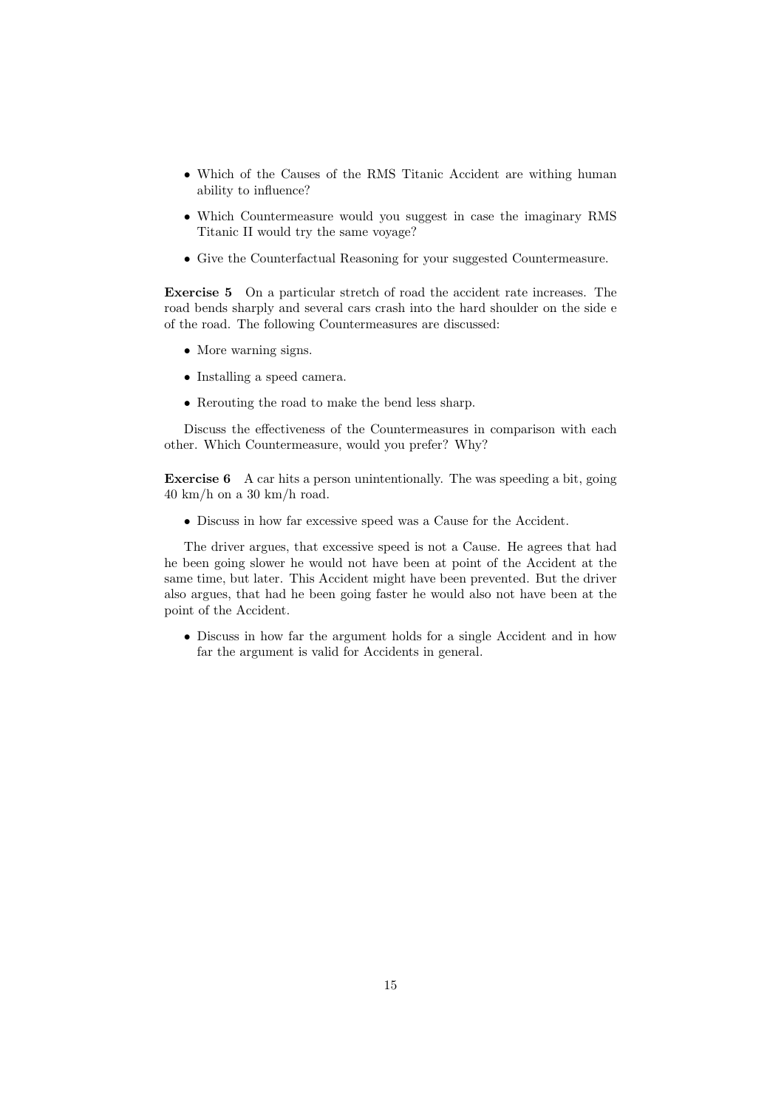- Which of the Causes of the RMS Titanic Accident are withing human ability to influence?
- Which Countermeasure would you suggest in case the imaginary RMS Titanic II would try the same voyage?
- Give the Counterfactual Reasoning for your suggested Countermeasure.

Exercise 5 On a particular stretch of road the accident rate increases. The road bends sharply and several cars crash into the hard shoulder on the side e of the road. The following Countermeasures are discussed:

- More warning signs.
- Installing a speed camera.
- Rerouting the road to make the bend less sharp.

Discuss the effectiveness of the Countermeasures in comparison with each other. Which Countermeasure, would you prefer? Why?

Exercise 6 A car hits a person unintentionally. The was speeding a bit, going  $40 \text{ km/h}$  on a 30 km/h road.

• Discuss in how far excessive speed was a Cause for the Accident.

The driver argues, that excessive speed is not a Cause. He agrees that had he been going slower he would not have been at point of the Accident at the same time, but later. This Accident might have been prevented. But the driver also argues, that had he been going faster he would also not have been at the point of the Accident.

• Discuss in how far the argument holds for a single Accident and in how far the argument is valid for Accidents in general.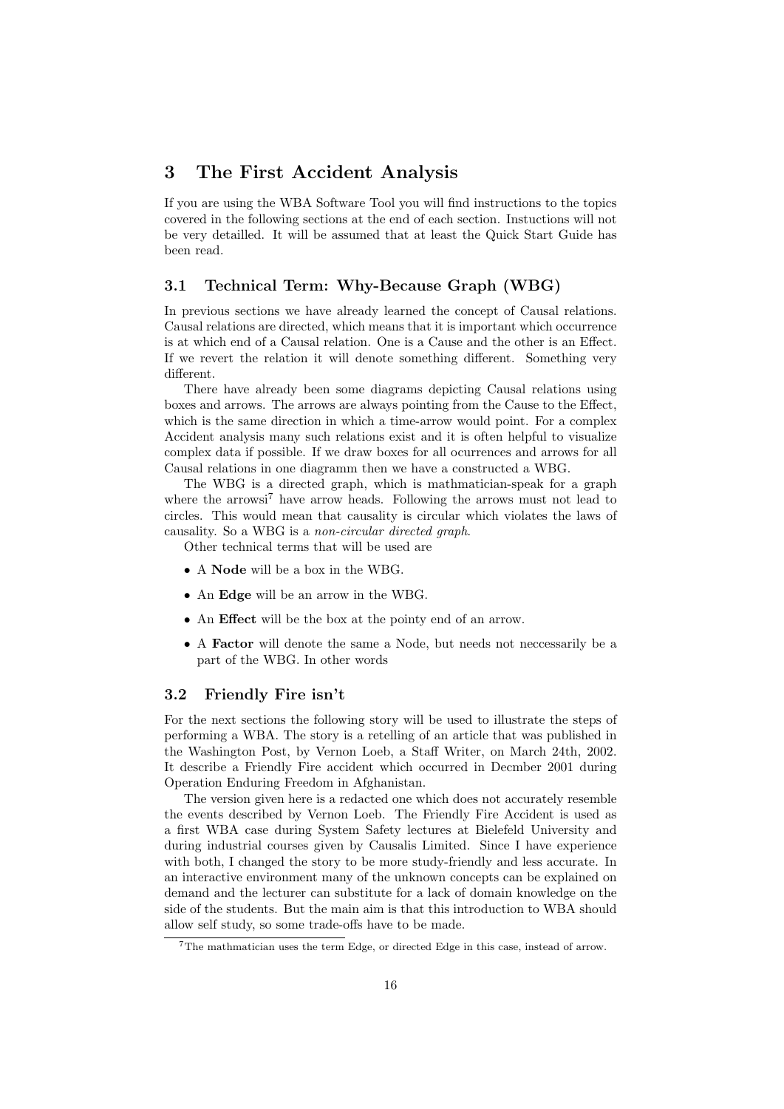# 3 The First Accident Analysis

If you are using the WBA Software Tool you will find instructions to the topics covered in the following sections at the end of each section. Instuctions will not be very detailled. It will be assumed that at least the Quick Start Guide has been read.

### 3.1 Technical Term: Why-Because Graph (WBG)

In previous sections we have already learned the concept of Causal relations. Causal relations are directed, which means that it is important which occurrence is at which end of a Causal relation. One is a Cause and the other is an Effect. If we revert the relation it will denote something different. Something very different.

There have already been some diagrams depicting Causal relations using boxes and arrows. The arrows are always pointing from the Cause to the Effect, which is the same direction in which a time-arrow would point. For a complex Accident analysis many such relations exist and it is often helpful to visualize complex data if possible. If we draw boxes for all ocurrences and arrows for all Causal relations in one diagramm then we have a constructed a WBG.

The WBG is a directed graph, which is mathmatician-speak for a graph where the arrowsi<sup>7</sup> have arrow heads. Following the arrows must not lead to circles. This would mean that causality is circular which violates the laws of causality. So a WBG is a non-circular directed graph.

Other technical terms that will be used are

- A Node will be a box in the WBG.
- An Edge will be an arrow in the WBG.
- An Effect will be the box at the pointy end of an arrow.
- A Factor will denote the same a Node, but needs not neccessarily be a part of the WBG. In other words

#### 3.2 Friendly Fire isn't

For the next sections the following story will be used to illustrate the steps of performing a WBA. The story is a retelling of an article that was published in the Washington Post, by Vernon Loeb, a Staff Writer, on March 24th, 2002. It describe a Friendly Fire accident which occurred in Decmber 2001 during Operation Enduring Freedom in Afghanistan.

The version given here is a redacted one which does not accurately resemble the events described by Vernon Loeb. The Friendly Fire Accident is used as a first WBA case during System Safety lectures at Bielefeld University and during industrial courses given by Causalis Limited. Since I have experience with both, I changed the story to be more study-friendly and less accurate. In an interactive environment many of the unknown concepts can be explained on demand and the lecturer can substitute for a lack of domain knowledge on the side of the students. But the main aim is that this introduction to WBA should allow self study, so some trade-offs have to be made.

<sup>7</sup>The mathmatician uses the term Edge, or directed Edge in this case, instead of arrow.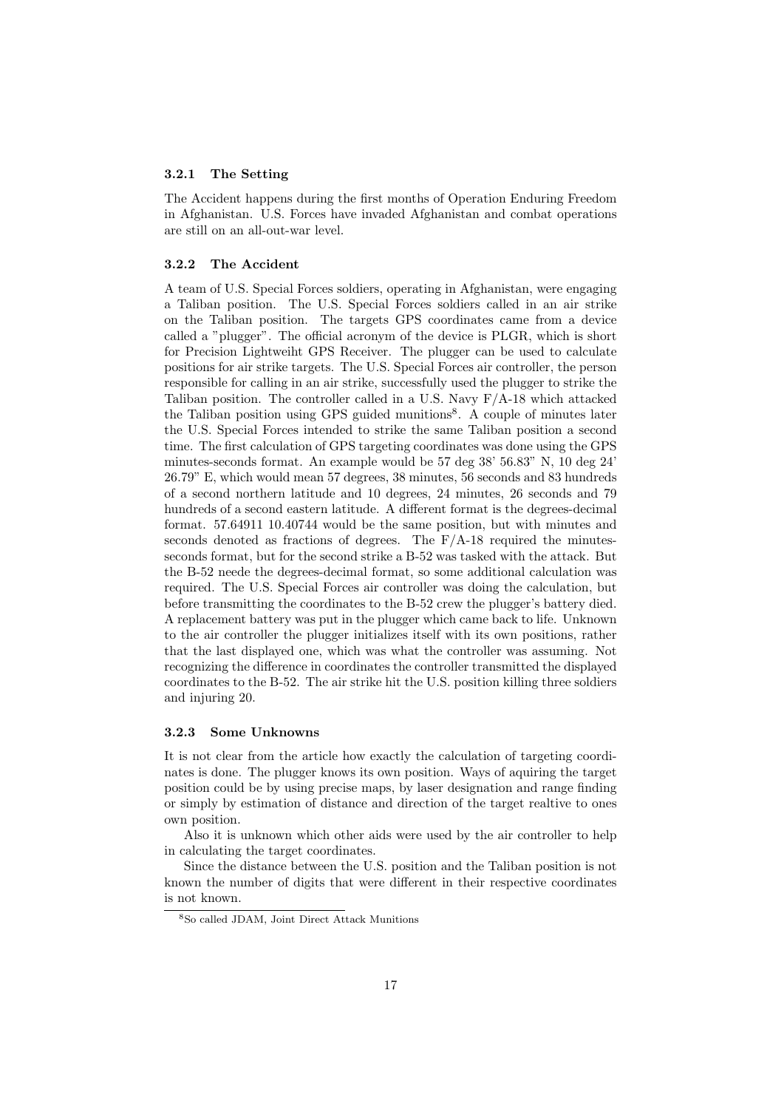#### 3.2.1 The Setting

The Accident happens during the first months of Operation Enduring Freedom in Afghanistan. U.S. Forces have invaded Afghanistan and combat operations are still on an all-out-war level.

#### 3.2.2 The Accident

A team of U.S. Special Forces soldiers, operating in Afghanistan, were engaging a Taliban position. The U.S. Special Forces soldiers called in an air strike on the Taliban position. The targets GPS coordinates came from a device called a "plugger". The official acronym of the device is PLGR, which is short for Precision Lightweiht GPS Receiver. The plugger can be used to calculate positions for air strike targets. The U.S. Special Forces air controller, the person responsible for calling in an air strike, successfully used the plugger to strike the Taliban position. The controller called in a U.S. Navy  $F/A-18$  which attacked the Taliban position using GPS guided munitions<sup>8</sup>. A couple of minutes later the U.S. Special Forces intended to strike the same Taliban position a second time. The first calculation of GPS targeting coordinates was done using the GPS minutes-seconds format. An example would be 57 deg 38' 56.83" N, 10 deg 24' 26.79" E, which would mean 57 degrees, 38 minutes, 56 seconds and 83 hundreds of a second northern latitude and 10 degrees, 24 minutes, 26 seconds and 79 hundreds of a second eastern latitude. A different format is the degrees-decimal format. 57.64911 10.40744 would be the same position, but with minutes and seconds denoted as fractions of degrees. The  $F/A-18$  required the minutesseconds format, but for the second strike a B-52 was tasked with the attack. But the B-52 neede the degrees-decimal format, so some additional calculation was required. The U.S. Special Forces air controller was doing the calculation, but before transmitting the coordinates to the B-52 crew the plugger's battery died. A replacement battery was put in the plugger which came back to life. Unknown to the air controller the plugger initializes itself with its own positions, rather that the last displayed one, which was what the controller was assuming. Not recognizing the difference in coordinates the controller transmitted the displayed coordinates to the B-52. The air strike hit the U.S. position killing three soldiers and injuring 20.

#### 3.2.3 Some Unknowns

It is not clear from the article how exactly the calculation of targeting coordinates is done. The plugger knows its own position. Ways of aquiring the target position could be by using precise maps, by laser designation and range finding or simply by estimation of distance and direction of the target realtive to ones own position.

Also it is unknown which other aids were used by the air controller to help in calculating the target coordinates.

Since the distance between the U.S. position and the Taliban position is not known the number of digits that were different in their respective coordinates is not known.

<sup>8</sup>So called JDAM, Joint Direct Attack Munitions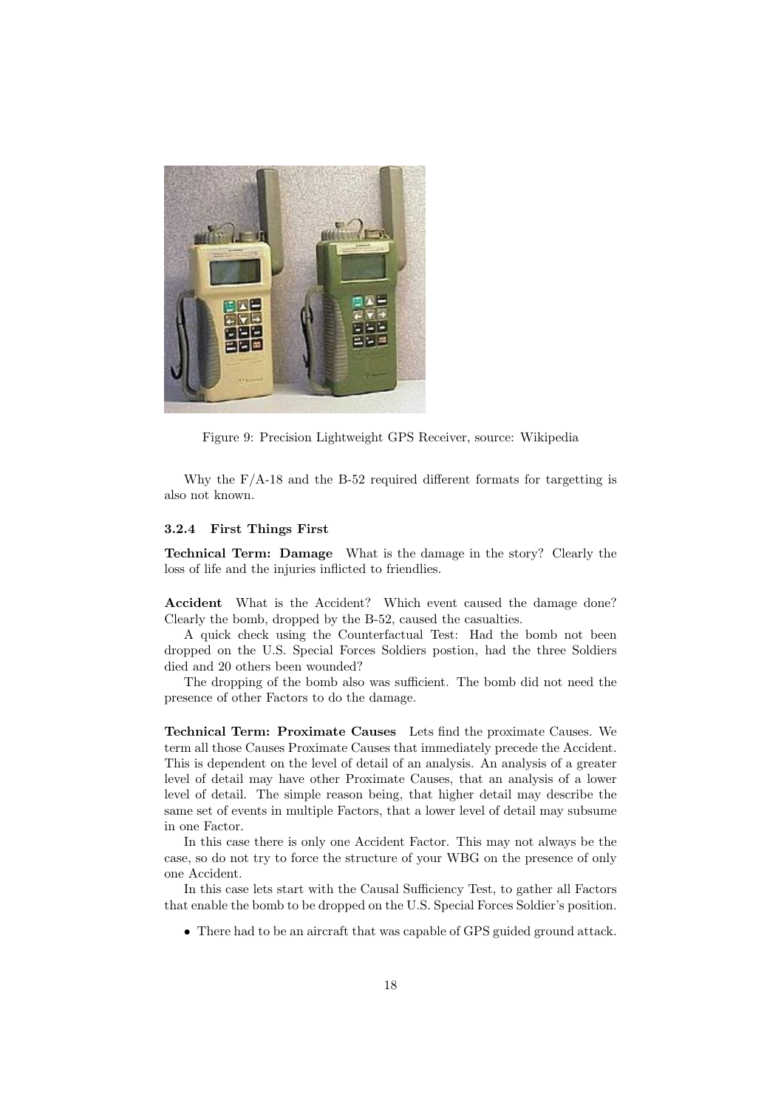

Figure 9: Precision Lightweight GPS Receiver, source: Wikipedia

Why the  $F/A-18$  and the B-52 required different formats for targetting is also not known.

#### 3.2.4 First Things First

Technical Term: Damage What is the damage in the story? Clearly the loss of life and the injuries inflicted to friendlies.

Accident What is the Accident? Which event caused the damage done? Clearly the bomb, dropped by the B-52, caused the casualties.

A quick check using the Counterfactual Test: Had the bomb not been dropped on the U.S. Special Forces Soldiers postion, had the three Soldiers died and 20 others been wounded?

The dropping of the bomb also was sufficient. The bomb did not need the presence of other Factors to do the damage.

Technical Term: Proximate Causes Lets find the proximate Causes. We term all those Causes Proximate Causes that immediately precede the Accident. This is dependent on the level of detail of an analysis. An analysis of a greater level of detail may have other Proximate Causes, that an analysis of a lower level of detail. The simple reason being, that higher detail may describe the same set of events in multiple Factors, that a lower level of detail may subsume in one Factor.

In this case there is only one Accident Factor. This may not always be the case, so do not try to force the structure of your WBG on the presence of only one Accident.

In this case lets start with the Causal Sufficiency Test, to gather all Factors that enable the bomb to be dropped on the U.S. Special Forces Soldier's position.

• There had to be an aircraft that was capable of GPS guided ground attack.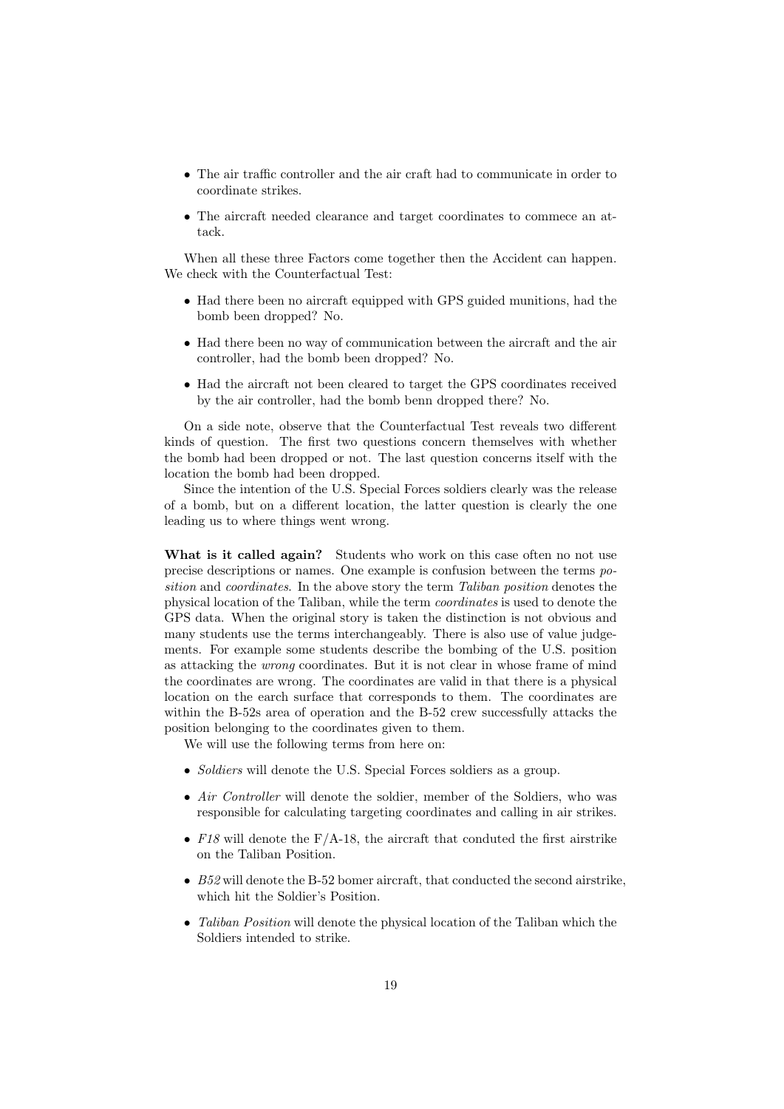- The air traffic controller and the air craft had to communicate in order to coordinate strikes.
- The aircraft needed clearance and target coordinates to commece an attack.

When all these three Factors come together then the Accident can happen. We check with the Counterfactual Test:

- Had there been no aircraft equipped with GPS guided munitions, had the bomb been dropped? No.
- Had there been no way of communication between the aircraft and the air controller, had the bomb been dropped? No.
- Had the aircraft not been cleared to target the GPS coordinates received by the air controller, had the bomb benn dropped there? No.

On a side note, observe that the Counterfactual Test reveals two different kinds of question. The first two questions concern themselves with whether the bomb had been dropped or not. The last question concerns itself with the location the bomb had been dropped.

Since the intention of the U.S. Special Forces soldiers clearly was the release of a bomb, but on a different location, the latter question is clearly the one leading us to where things went wrong.

What is it called again? Students who work on this case often no not use precise descriptions or names. One example is confusion between the terms position and *coordinates*. In the above story the term *Taliban position* denotes the physical location of the Taliban, while the term coordinates is used to denote the GPS data. When the original story is taken the distinction is not obvious and many students use the terms interchangeably. There is also use of value judgements. For example some students describe the bombing of the U.S. position as attacking the wrong coordinates. But it is not clear in whose frame of mind the coordinates are wrong. The coordinates are valid in that there is a physical location on the earch surface that corresponds to them. The coordinates are within the B-52s area of operation and the B-52 crew successfully attacks the position belonging to the coordinates given to them.

We will use the following terms from here on:

- *Soldiers* will denote the U.S. Special Forces soldiers as a group.
- Air Controller will denote the soldier, member of the Soldiers, who was responsible for calculating targeting coordinates and calling in air strikes.
- F18 will denote the  $F/A-18$ , the aircraft that conduted the first airstrike on the Taliban Position.
- B52 will denote the B-52 bomer aircraft, that conducted the second airstrike, which hit the Soldier's Position.
- Taliban Position will denote the physical location of the Taliban which the Soldiers intended to strike.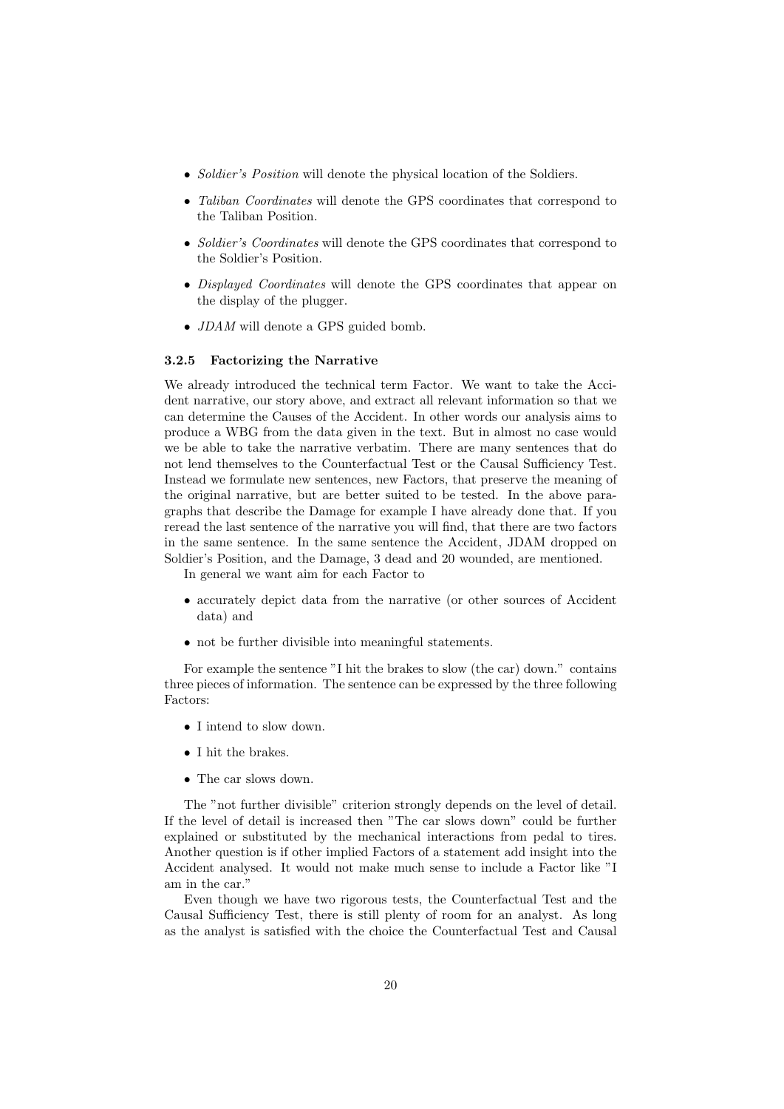- Soldier's Position will denote the physical location of the Soldiers.
- Taliban Coordinates will denote the GPS coordinates that correspond to the Taliban Position.
- Soldier's Coordinates will denote the GPS coordinates that correspond to the Soldier's Position.
- Displayed Coordinates will denote the GPS coordinates that appear on the display of the plugger.
- JDAM will denote a GPS guided bomb.

#### 3.2.5 Factorizing the Narrative

We already introduced the technical term Factor. We want to take the Accident narrative, our story above, and extract all relevant information so that we can determine the Causes of the Accident. In other words our analysis aims to produce a WBG from the data given in the text. But in almost no case would we be able to take the narrative verbatim. There are many sentences that do not lend themselves to the Counterfactual Test or the Causal Sufficiency Test. Instead we formulate new sentences, new Factors, that preserve the meaning of the original narrative, but are better suited to be tested. In the above paragraphs that describe the Damage for example I have already done that. If you reread the last sentence of the narrative you will find, that there are two factors in the same sentence. In the same sentence the Accident, JDAM dropped on Soldier's Position, and the Damage, 3 dead and 20 wounded, are mentioned.

In general we want aim for each Factor to

- accurately depict data from the narrative (or other sources of Accident data) and
- not be further divisible into meaningful statements.

For example the sentence "I hit the brakes to slow (the car) down." contains three pieces of information. The sentence can be expressed by the three following Factors:

- I intend to slow down.
- I hit the brakes.
- The car slows down.

The "not further divisible" criterion strongly depends on the level of detail. If the level of detail is increased then "The car slows down" could be further explained or substituted by the mechanical interactions from pedal to tires. Another question is if other implied Factors of a statement add insight into the Accident analysed. It would not make much sense to include a Factor like "I am in the car."

Even though we have two rigorous tests, the Counterfactual Test and the Causal Sufficiency Test, there is still plenty of room for an analyst. As long as the analyst is satisfied with the choice the Counterfactual Test and Causal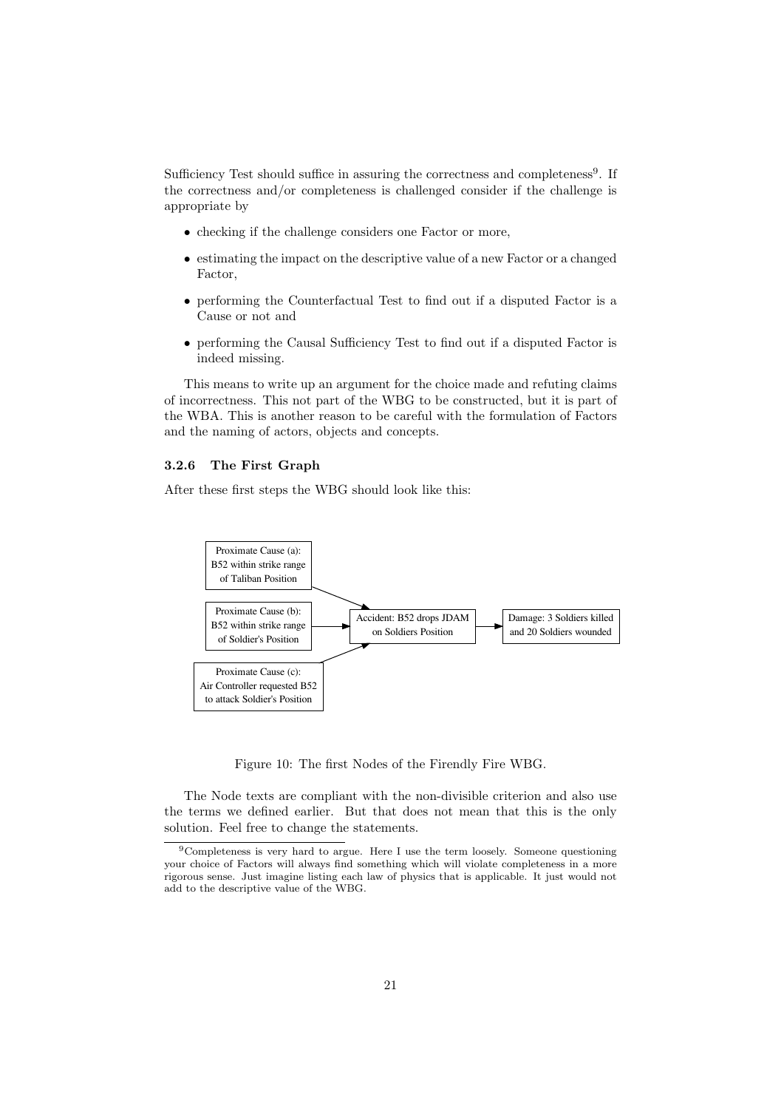Sufficiency Test should suffice in assuring the correctness and completeness<sup>9</sup>. If the correctness and/or completeness is challenged consider if the challenge is appropriate by

- checking if the challenge considers one Factor or more,
- estimating the impact on the descriptive value of a new Factor or a changed Factor,
- performing the Counterfactual Test to find out if a disputed Factor is a Cause or not and
- performing the Causal Sufficiency Test to find out if a disputed Factor is indeed missing.

This means to write up an argument for the choice made and refuting claims of incorrectness. This not part of the WBG to be constructed, but it is part of the WBA. This is another reason to be careful with the formulation of Factors and the naming of actors, objects and concepts.

#### 3.2.6 The First Graph

After these first steps the WBG should look like this:



Figure 10: The first Nodes of the Firendly Fire WBG.

The Node texts are compliant with the non-divisible criterion and also use the terms we defined earlier. But that does not mean that this is the only solution. Feel free to change the statements.

<sup>9</sup>Completeness is very hard to argue. Here I use the term loosely. Someone questioning your choice of Factors will always find something which will violate completeness in a more rigorous sense. Just imagine listing each law of physics that is applicable. It just would not add to the descriptive value of the WBG.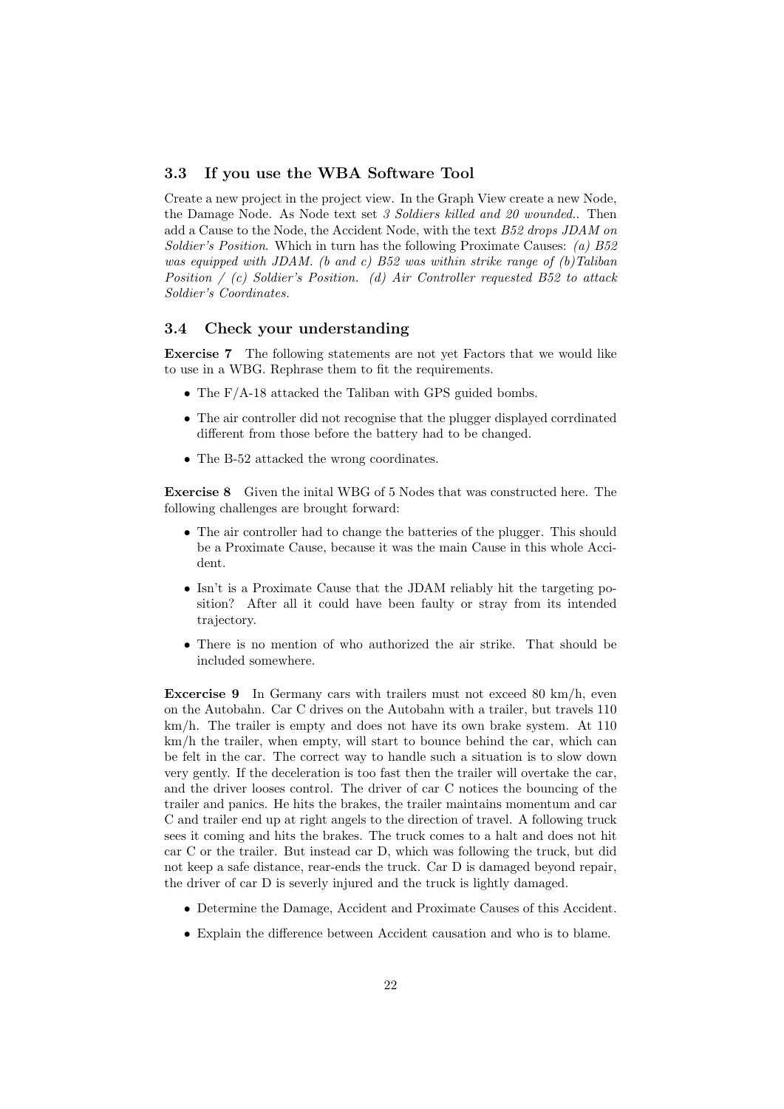#### 3.3 If you use the WBA Software Tool

Create a new project in the project view. In the Graph View create a new Node, the Damage Node. As Node text set 3 Soldiers killed and 20 wounded.. Then add a Cause to the Node, the Accident Node, with the text B52 drops JDAM on Soldier's Position. Which in turn has the following Proximate Causes: (a) B52 was equipped with JDAM. (b and c) B52 was within strike range of  $(b)$ Taliban Position  $/$  (c) Soldier's Position. (d) Air Controller requested B52 to attack Soldier's Coordinates.

#### 3.4 Check your understanding

Exercise 7 The following statements are not yet Factors that we would like to use in a WBG. Rephrase them to fit the requirements.

- The F/A-18 attacked the Taliban with GPS guided bombs.
- The air controller did not recognise that the plugger displayed corrdinated different from those before the battery had to be changed.
- The B-52 attacked the wrong coordinates.

Exercise 8 Given the inital WBG of 5 Nodes that was constructed here. The following challenges are brought forward:

- The air controller had to change the batteries of the plugger. This should be a Proximate Cause, because it was the main Cause in this whole Accident.
- Isn't is a Proximate Cause that the JDAM reliably hit the targeting position? After all it could have been faulty or stray from its intended trajectory.
- There is no mention of who authorized the air strike. That should be included somewhere.

**Excercise 9** In Germany cars with trailers must not exceed 80 km/h, even on the Autobahn. Car C drives on the Autobahn with a trailer, but travels 110 km/h. The trailer is empty and does not have its own brake system. At 110 km/h the trailer, when empty, will start to bounce behind the car, which can be felt in the car. The correct way to handle such a situation is to slow down very gently. If the deceleration is too fast then the trailer will overtake the car, and the driver looses control. The driver of car C notices the bouncing of the trailer and panics. He hits the brakes, the trailer maintains momentum and car C and trailer end up at right angels to the direction of travel. A following truck sees it coming and hits the brakes. The truck comes to a halt and does not hit car C or the trailer. But instead car D, which was following the truck, but did not keep a safe distance, rear-ends the truck. Car D is damaged beyond repair, the driver of car D is severly injured and the truck is lightly damaged.

- Determine the Damage, Accident and Proximate Causes of this Accident.
- Explain the difference between Accident causation and who is to blame.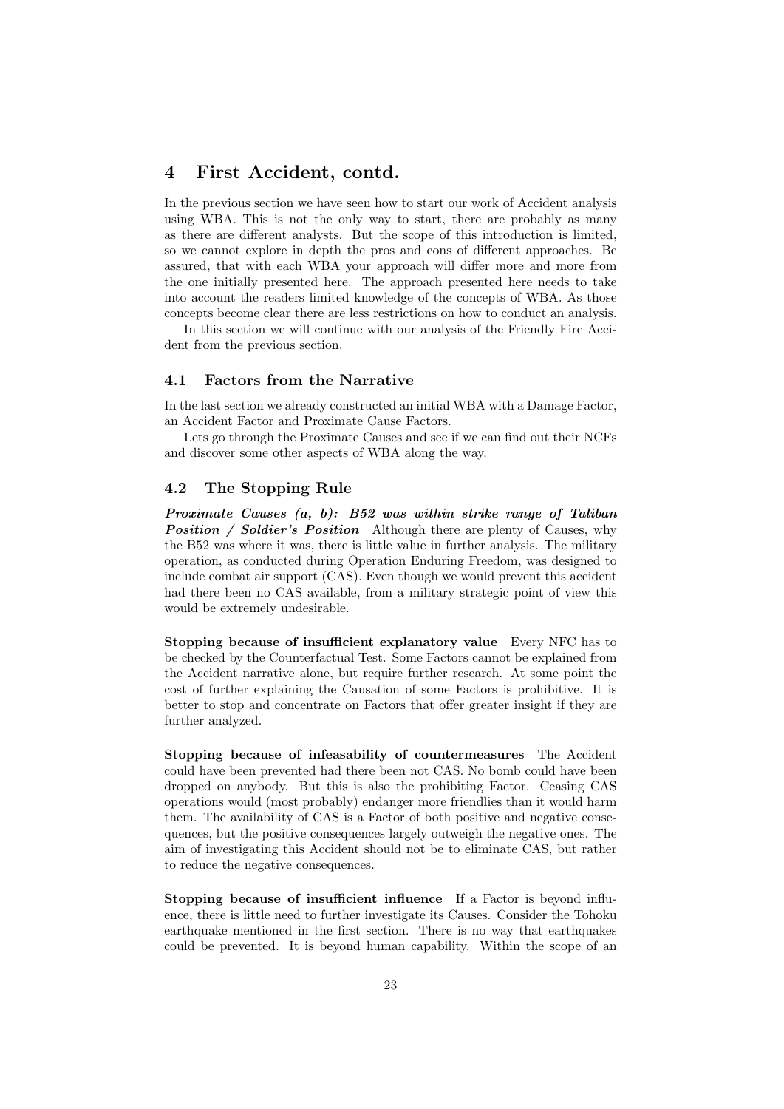# 4 First Accident, contd.

In the previous section we have seen how to start our work of Accident analysis using WBA. This is not the only way to start, there are probably as many as there are different analysts. But the scope of this introduction is limited, so we cannot explore in depth the pros and cons of different approaches. Be assured, that with each WBA your approach will differ more and more from the one initially presented here. The approach presented here needs to take into account the readers limited knowledge of the concepts of WBA. As those concepts become clear there are less restrictions on how to conduct an analysis.

In this section we will continue with our analysis of the Friendly Fire Accident from the previous section.

### 4.1 Factors from the Narrative

In the last section we already constructed an initial WBA with a Damage Factor, an Accident Factor and Proximate Cause Factors.

Lets go through the Proximate Causes and see if we can find out their NCFs and discover some other aspects of WBA along the way.

### 4.2 The Stopping Rule

Proximate Causes (a, b): B52 was within strike range of Taliban Position / Soldier's Position Although there are plenty of Causes, why the B52 was where it was, there is little value in further analysis. The military operation, as conducted during Operation Enduring Freedom, was designed to include combat air support (CAS). Even though we would prevent this accident had there been no CAS available, from a military strategic point of view this would be extremely undesirable.

Stopping because of insufficient explanatory value Every NFC has to be checked by the Counterfactual Test. Some Factors cannot be explained from the Accident narrative alone, but require further research. At some point the cost of further explaining the Causation of some Factors is prohibitive. It is better to stop and concentrate on Factors that offer greater insight if they are further analyzed.

Stopping because of infeasability of countermeasures The Accident could have been prevented had there been not CAS. No bomb could have been dropped on anybody. But this is also the prohibiting Factor. Ceasing CAS operations would (most probably) endanger more friendlies than it would harm them. The availability of CAS is a Factor of both positive and negative consequences, but the positive consequences largely outweigh the negative ones. The aim of investigating this Accident should not be to eliminate CAS, but rather to reduce the negative consequences.

Stopping because of insufficient influence If a Factor is beyond influence, there is little need to further investigate its Causes. Consider the Tohoku earthquake mentioned in the first section. There is no way that earthquakes could be prevented. It is beyond human capability. Within the scope of an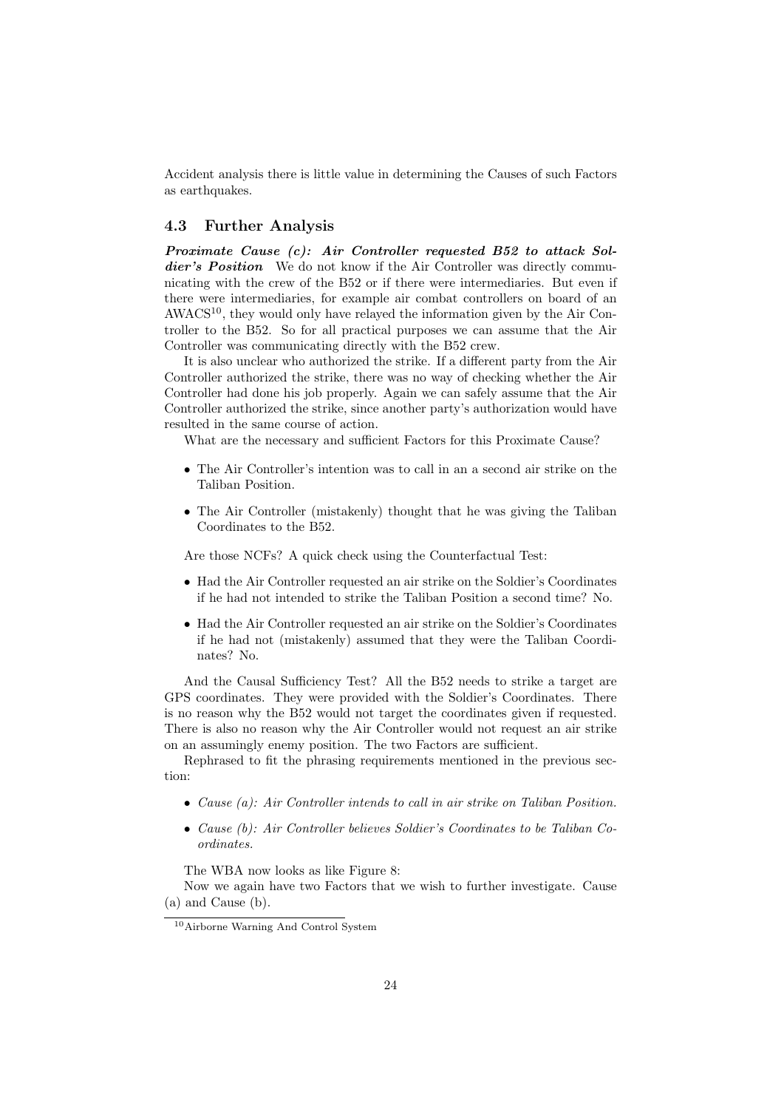Accident analysis there is little value in determining the Causes of such Factors as earthquakes.

### 4.3 Further Analysis

Proximate Cause (c): Air Controller requested B52 to attack Soldier's Position We do not know if the Air Controller was directly communicating with the crew of the B52 or if there were intermediaries. But even if there were intermediaries, for example air combat controllers on board of an  $AWACS<sup>10</sup>$ , they would only have relayed the information given by the Air Controller to the B52. So for all practical purposes we can assume that the Air Controller was communicating directly with the B52 crew.

It is also unclear who authorized the strike. If a different party from the Air Controller authorized the strike, there was no way of checking whether the Air Controller had done his job properly. Again we can safely assume that the Air Controller authorized the strike, since another party's authorization would have resulted in the same course of action.

What are the necessary and sufficient Factors for this Proximate Cause?

- The Air Controller's intention was to call in an a second air strike on the Taliban Position.
- The Air Controller (mistakenly) thought that he was giving the Taliban Coordinates to the B52.

Are those NCFs? A quick check using the Counterfactual Test:

- Had the Air Controller requested an air strike on the Soldier's Coordinates if he had not intended to strike the Taliban Position a second time? No.
- Had the Air Controller requested an air strike on the Soldier's Coordinates if he had not (mistakenly) assumed that they were the Taliban Coordinates? No.

And the Causal Sufficiency Test? All the B52 needs to strike a target are GPS coordinates. They were provided with the Soldier's Coordinates. There is no reason why the B52 would not target the coordinates given if requested. There is also no reason why the Air Controller would not request an air strike on an assumingly enemy position. The two Factors are sufficient.

Rephrased to fit the phrasing requirements mentioned in the previous section:

- Cause (a): Air Controller intends to call in air strike on Taliban Position.
- Cause (b): Air Controller believes Soldier's Coordinates to be Taliban Coordinates.

The WBA now looks as like Figure 8:

Now we again have two Factors that we wish to further investigate. Cause (a) and Cause (b).

<sup>10</sup>Airborne Warning And Control System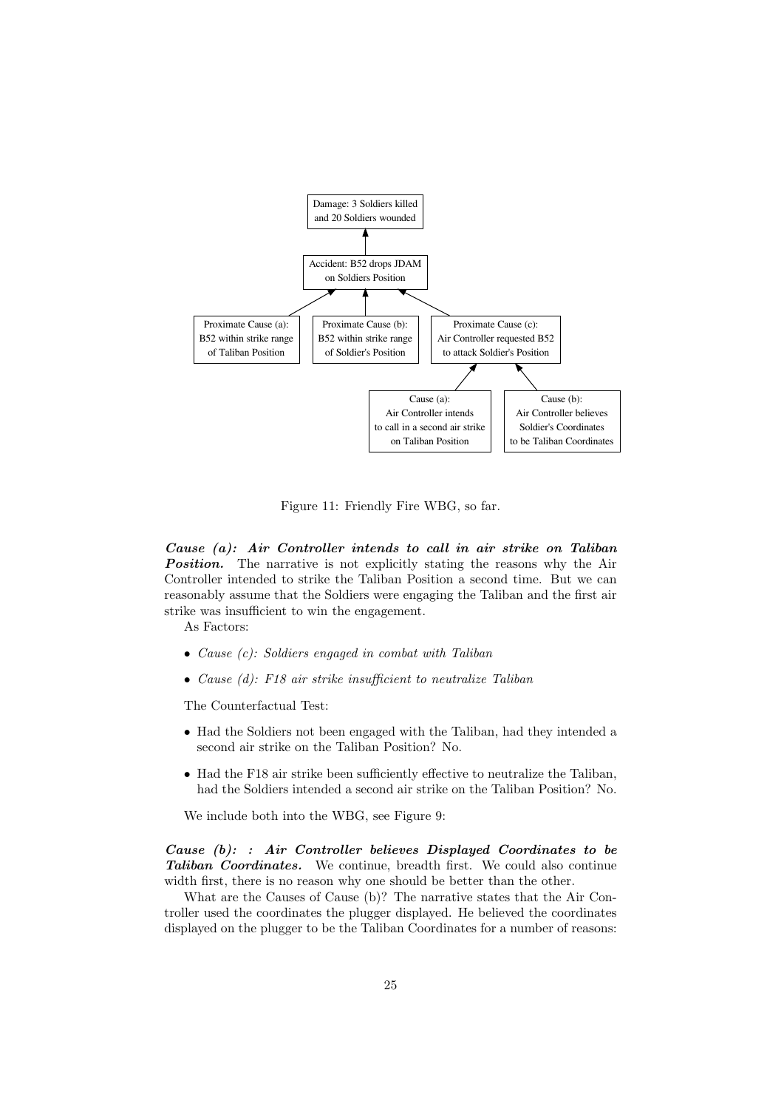

Figure 11: Friendly Fire WBG, so far.

Cause (a): Air Controller intends to call in air strike on Taliban **Position.** The narrative is not explicitly stating the reasons why the Air Controller intended to strike the Taliban Position a second time. But we can reasonably assume that the Soldiers were engaging the Taliban and the first air strike was insufficient to win the engagement.

As Factors:

- Cause (c): Soldiers engaged in combat with Taliban
- Cause (d): F18 air strike insufficient to neutralize Taliban

The Counterfactual Test:

- Had the Soldiers not been engaged with the Taliban, had they intended a second air strike on the Taliban Position? No.
- Had the F18 air strike been sufficiently effective to neutralize the Taliban, had the Soldiers intended a second air strike on the Taliban Position? No.

We include both into the WBG, see Figure 9:

Cause (b): : Air Controller believes Displayed Coordinates to be Taliban Coordinates. We continue, breadth first. We could also continue width first, there is no reason why one should be better than the other.

What are the Causes of Cause (b)? The narrative states that the Air Controller used the coordinates the plugger displayed. He believed the coordinates displayed on the plugger to be the Taliban Coordinates for a number of reasons: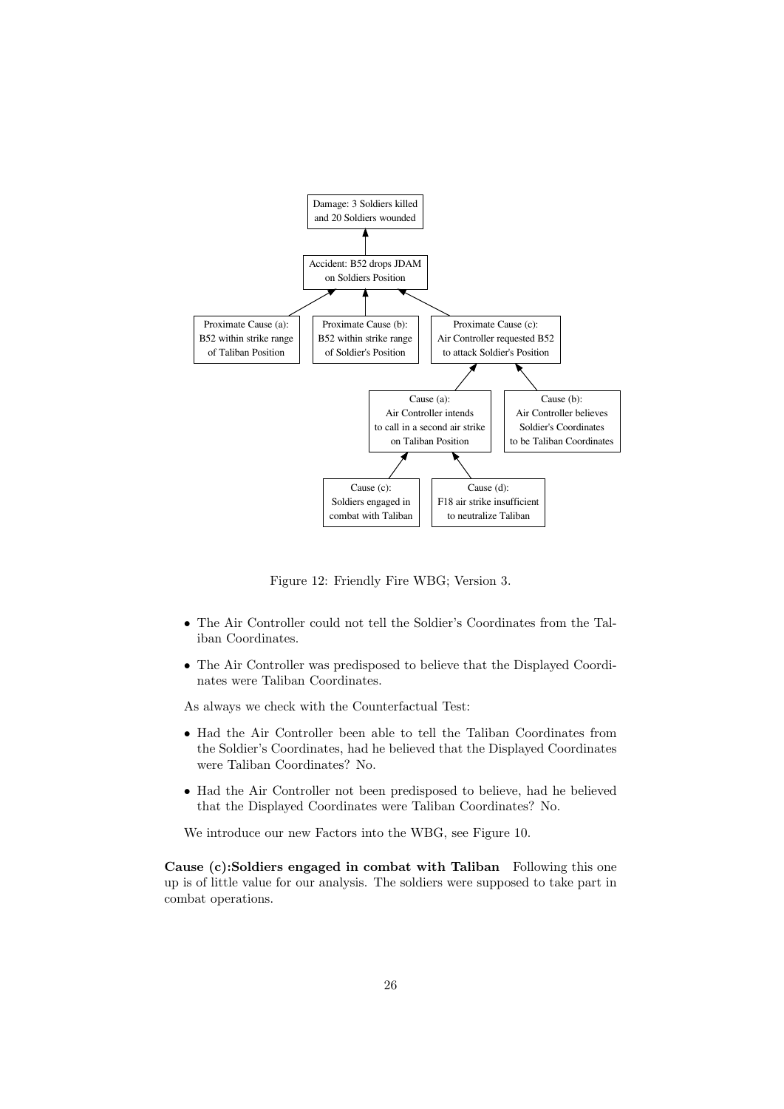

Figure 12: Friendly Fire WBG; Version 3.

- The Air Controller could not tell the Soldier's Coordinates from the Taliban Coordinates.
- The Air Controller was predisposed to believe that the Displayed Coordinates were Taliban Coordinates.

As always we check with the Counterfactual Test:

- Had the Air Controller been able to tell the Taliban Coordinates from the Soldier's Coordinates, had he believed that the Displayed Coordinates were Taliban Coordinates? No.
- Had the Air Controller not been predisposed to believe, had he believed that the Displayed Coordinates were Taliban Coordinates? No.

We introduce our new Factors into the WBG, see Figure 10.

Cause (c):Soldiers engaged in combat with Taliban Following this one up is of little value for our analysis. The soldiers were supposed to take part in combat operations.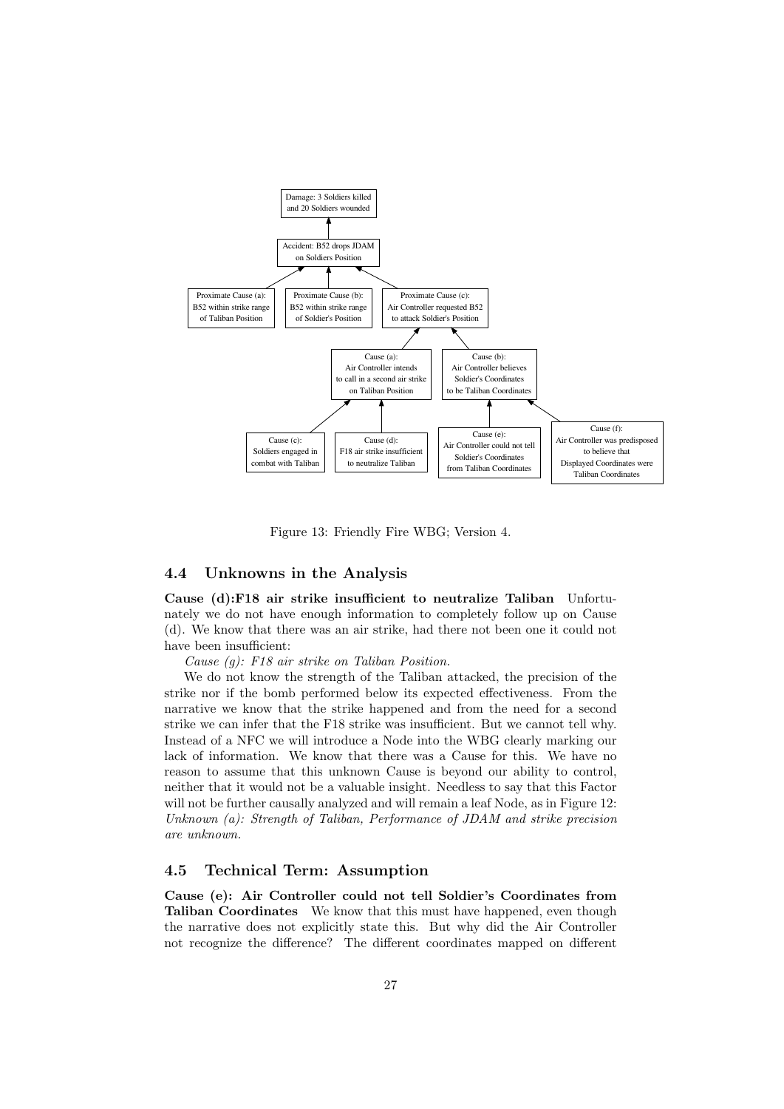

Figure 13: Friendly Fire WBG; Version 4.

### 4.4 Unknowns in the Analysis

Cause (d):F18 air strike insufficient to neutralize Taliban Unfortunately we do not have enough information to completely follow up on Cause (d). We know that there was an air strike, had there not been one it could not have been insufficient:

Cause (g): F18 air strike on Taliban Position.

We do not know the strength of the Taliban attacked, the precision of the strike nor if the bomb performed below its expected effectiveness. From the narrative we know that the strike happened and from the need for a second strike we can infer that the F18 strike was insufficient. But we cannot tell why. Instead of a NFC we will introduce a Node into the WBG clearly marking our lack of information. We know that there was a Cause for this. We have no reason to assume that this unknown Cause is beyond our ability to control, neither that it would not be a valuable insight. Needless to say that this Factor will not be further causally analyzed and will remain a leaf Node, as in Figure 12: Unknown (a): Strength of Taliban, Performance of JDAM and strike precision are unknown.

### 4.5 Technical Term: Assumption

Cause (e): Air Controller could not tell Soldier's Coordinates from Taliban Coordinates We know that this must have happened, even though the narrative does not explicitly state this. But why did the Air Controller not recognize the difference? The different coordinates mapped on different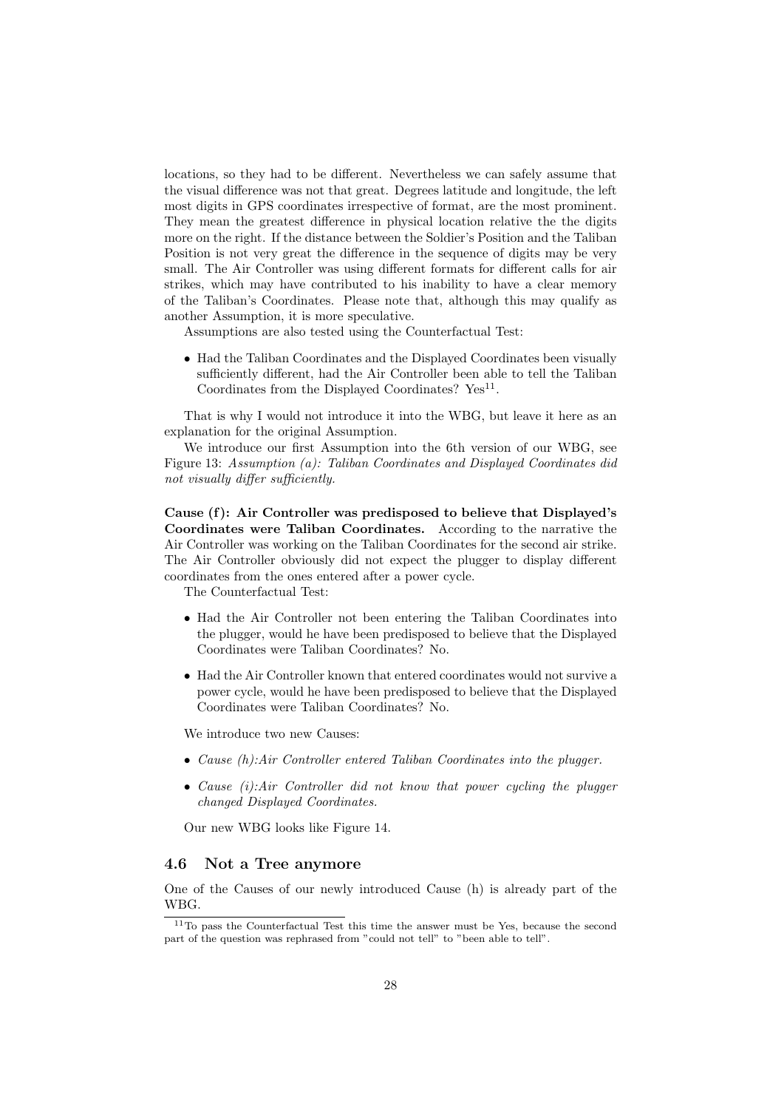locations, so they had to be different. Nevertheless we can safely assume that the visual difference was not that great. Degrees latitude and longitude, the left most digits in GPS coordinates irrespective of format, are the most prominent. They mean the greatest difference in physical location relative the the digits more on the right. If the distance between the Soldier's Position and the Taliban Position is not very great the difference in the sequence of digits may be very small. The Air Controller was using different formats for different calls for air strikes, which may have contributed to his inability to have a clear memory of the Taliban's Coordinates. Please note that, although this may qualify as another Assumption, it is more speculative.

Assumptions are also tested using the Counterfactual Test:

• Had the Taliban Coordinates and the Displayed Coordinates been visually sufficiently different, had the Air Controller been able to tell the Taliban Coordinates from the Displayed Coordinates?  $Yes<sup>11</sup>$ .

That is why I would not introduce it into the WBG, but leave it here as an explanation for the original Assumption.

We introduce our first Assumption into the 6th version of our WBG, see Figure 13: Assumption (a): Taliban Coordinates and Displayed Coordinates did not visually differ sufficiently.

Cause (f): Air Controller was predisposed to believe that Displayed's Coordinates were Taliban Coordinates. According to the narrative the Air Controller was working on the Taliban Coordinates for the second air strike. The Air Controller obviously did not expect the plugger to display different coordinates from the ones entered after a power cycle.

The Counterfactual Test:

- Had the Air Controller not been entering the Taliban Coordinates into the plugger, would he have been predisposed to believe that the Displayed Coordinates were Taliban Coordinates? No.
- Had the Air Controller known that entered coordinates would not survive a power cycle, would he have been predisposed to believe that the Displayed Coordinates were Taliban Coordinates? No.

We introduce two new Causes:

- Cause (h):Air Controller entered Taliban Coordinates into the plugger.
- Cause  $(i)$ : Air Controller did not know that power cycling the plugger changed Displayed Coordinates.

Our new WBG looks like Figure 14.

### 4.6 Not a Tree anymore

One of the Causes of our newly introduced Cause (h) is already part of the WBG.

 $11$ To pass the Counterfactual Test this time the answer must be Yes, because the second part of the question was rephrased from "could not tell" to "been able to tell".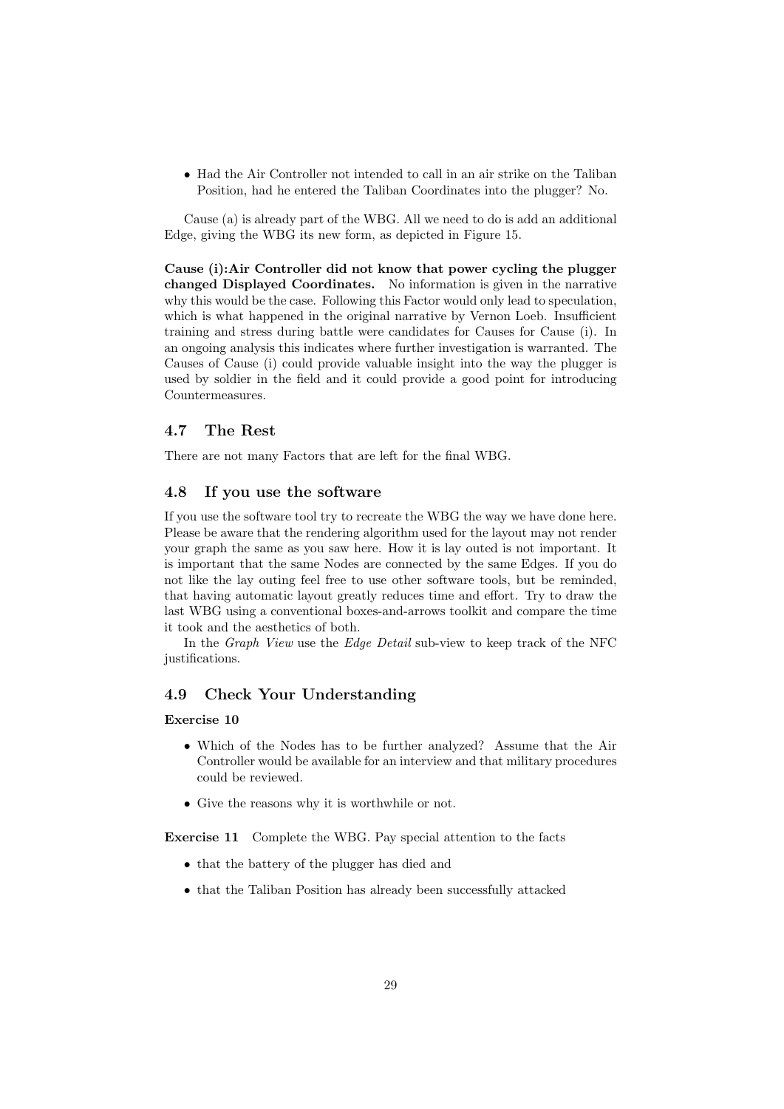• Had the Air Controller not intended to call in an air strike on the Taliban Position, had he entered the Taliban Coordinates into the plugger? No.

Cause (a) is already part of the WBG. All we need to do is add an additional Edge, giving the WBG its new form, as depicted in Figure 15.

Cause (i):Air Controller did not know that power cycling the plugger changed Displayed Coordinates. No information is given in the narrative why this would be the case. Following this Factor would only lead to speculation, which is what happened in the original narrative by Vernon Loeb. Insufficient training and stress during battle were candidates for Causes for Cause (i). In an ongoing analysis this indicates where further investigation is warranted. The Causes of Cause (i) could provide valuable insight into the way the plugger is used by soldier in the field and it could provide a good point for introducing Countermeasures.

### 4.7 The Rest

There are not many Factors that are left for the final WBG.

#### 4.8 If you use the software

If you use the software tool try to recreate the WBG the way we have done here. Please be aware that the rendering algorithm used for the layout may not render your graph the same as you saw here. How it is lay outed is not important. It is important that the same Nodes are connected by the same Edges. If you do not like the lay outing feel free to use other software tools, but be reminded, that having automatic layout greatly reduces time and effort. Try to draw the last WBG using a conventional boxes-and-arrows toolkit and compare the time it took and the aesthetics of both.

In the *Graph View* use the *Edge Detail* sub-view to keep track of the NFC justifications.

#### 4.9 Check Your Understanding

#### Exercise 10

- Which of the Nodes has to be further analyzed? Assume that the Air Controller would be available for an interview and that military procedures could be reviewed.
- Give the reasons why it is worthwhile or not.

Exercise 11 Complete the WBG. Pay special attention to the facts

- that the battery of the plugger has died and
- that the Taliban Position has already been successfully attacked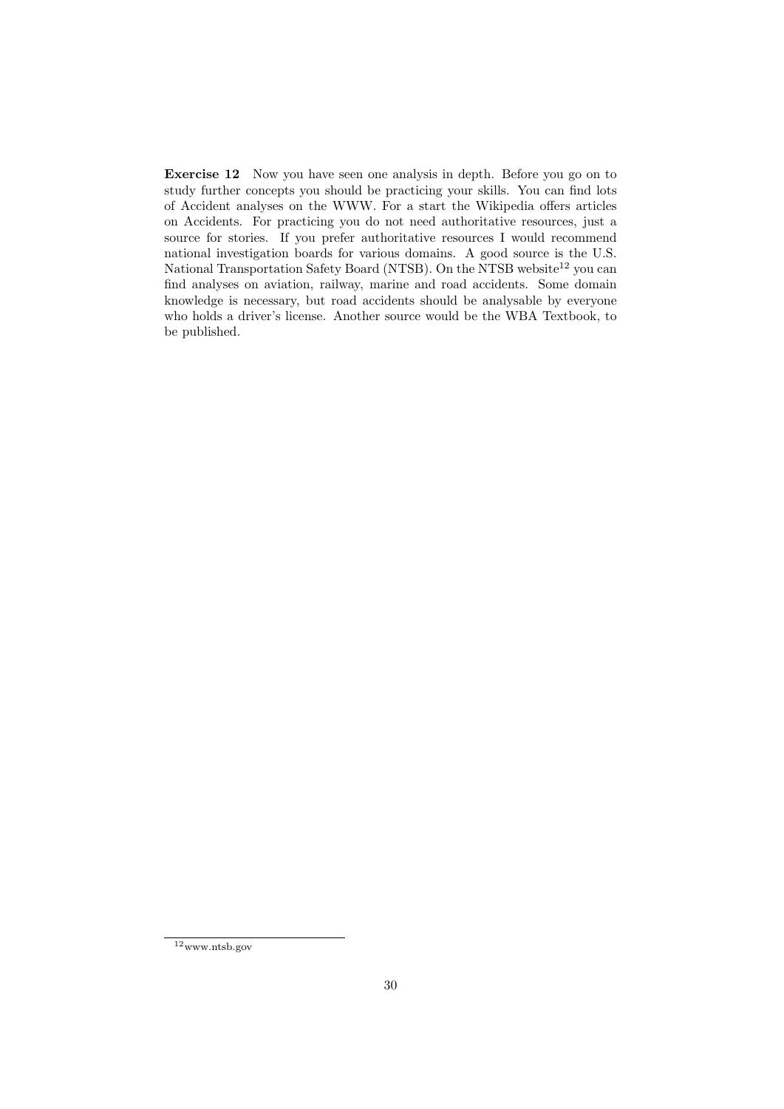Exercise 12 Now you have seen one analysis in depth. Before you go on to study further concepts you should be practicing your skills. You can find lots of Accident analyses on the WWW. For a start the Wikipedia offers articles on Accidents. For practicing you do not need authoritative resources, just a source for stories. If you prefer authoritative resources I would recommend national investigation boards for various domains. A good source is the U.S. National Transportation Safety Board (NTSB). On the NTSB website<sup>12</sup> you can find analyses on aviation, railway, marine and road accidents. Some domain knowledge is necessary, but road accidents should be analysable by everyone who holds a driver's license. Another source would be the WBA Textbook, to be published.

 $12$ www.ntsb.gov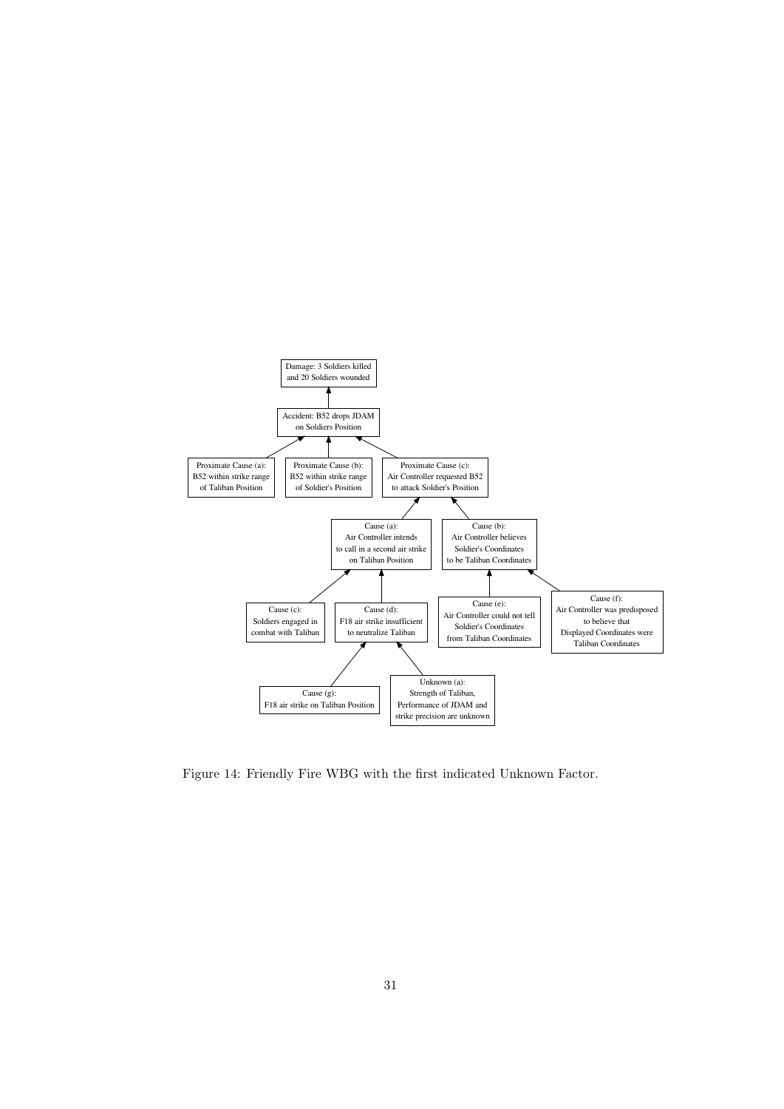

Figure 14: Friendly Fire WBG with the first indicated Unknown Factor.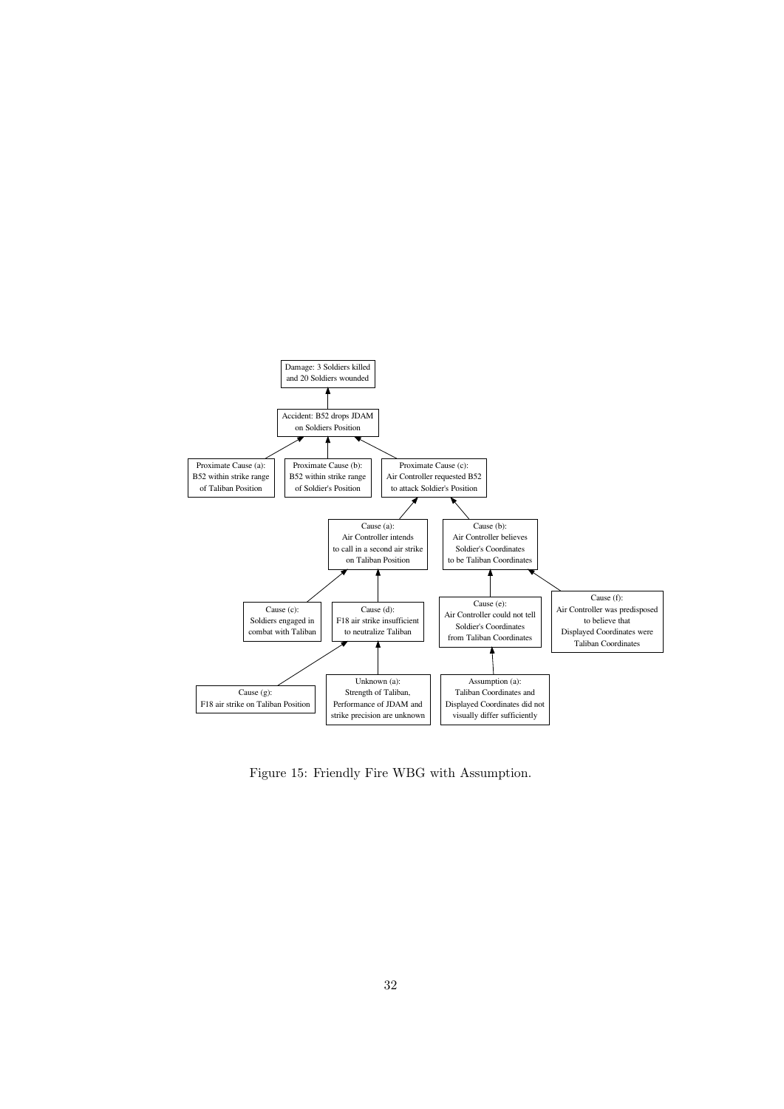

Figure 15: Friendly Fire WBG with Assumption.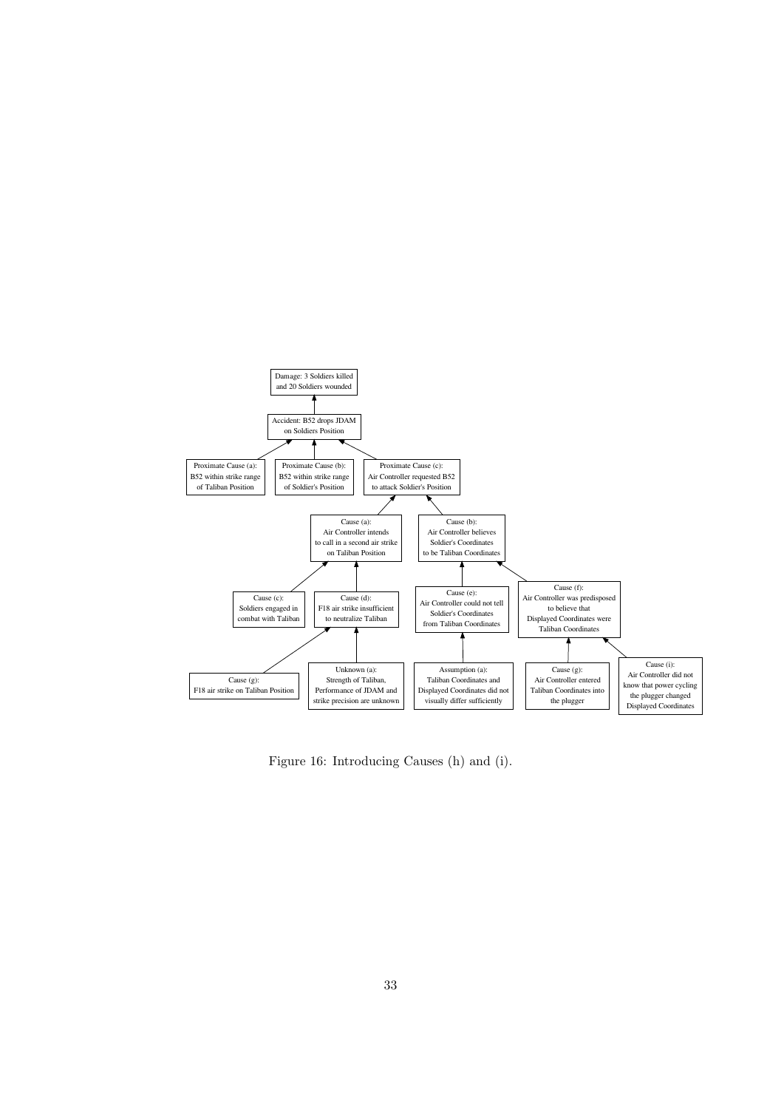

Figure 16: Introducing Causes (h) and (i).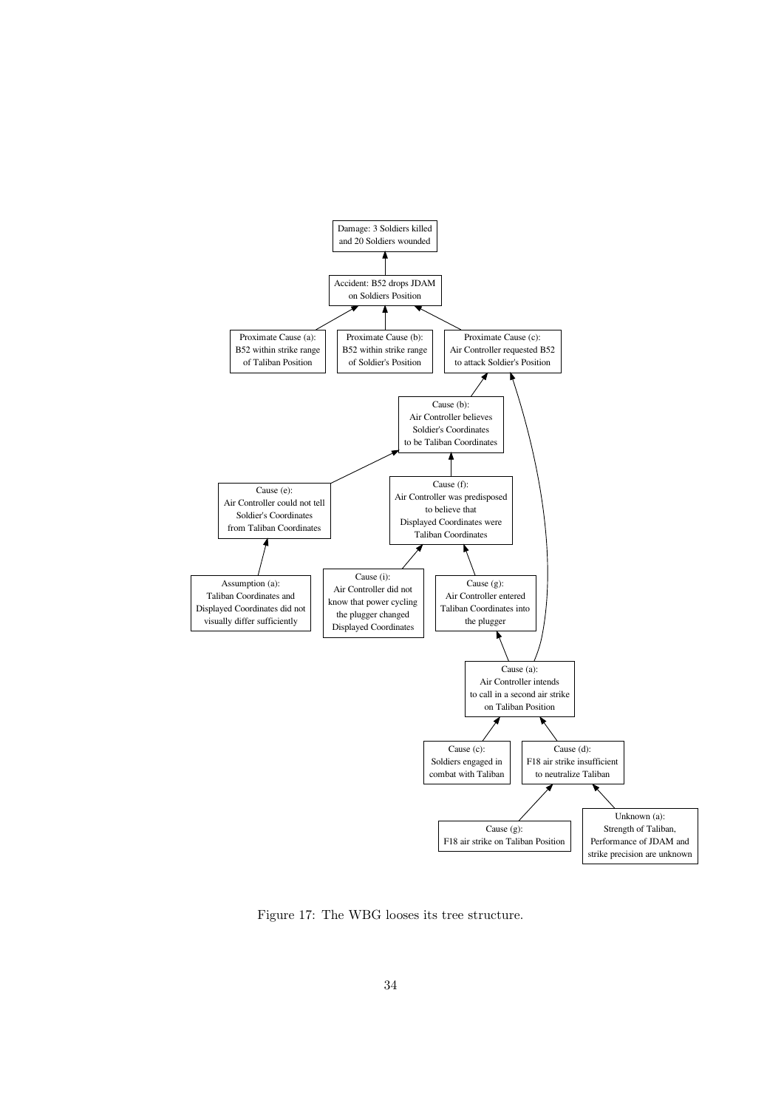

Figure 17: The WBG looses its tree structure.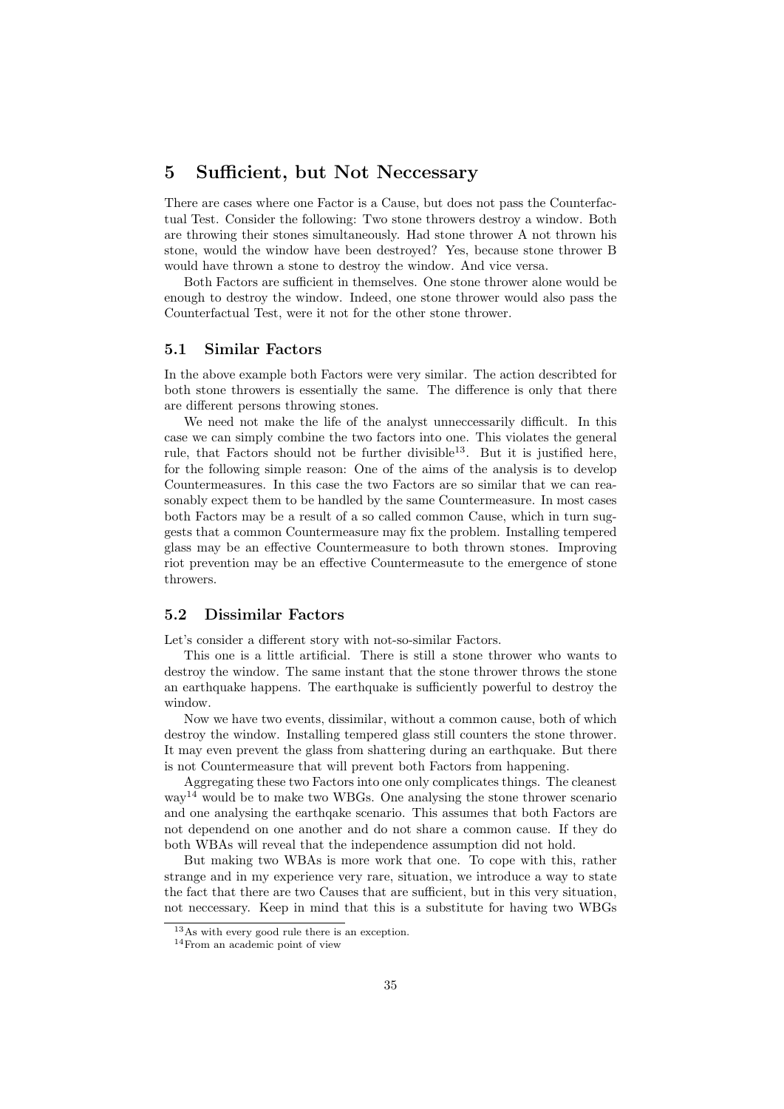# 5 Sufficient, but Not Neccessary

There are cases where one Factor is a Cause, but does not pass the Counterfactual Test. Consider the following: Two stone throwers destroy a window. Both are throwing their stones simultaneously. Had stone thrower A not thrown his stone, would the window have been destroyed? Yes, because stone thrower B would have thrown a stone to destroy the window. And vice versa.

Both Factors are sufficient in themselves. One stone thrower alone would be enough to destroy the window. Indeed, one stone thrower would also pass the Counterfactual Test, were it not for the other stone thrower.

#### 5.1 Similar Factors

In the above example both Factors were very similar. The action describted for both stone throwers is essentially the same. The difference is only that there are different persons throwing stones.

We need not make the life of the analyst unneccessarily difficult. In this case we can simply combine the two factors into one. This violates the general rule, that Factors should not be further divisible<sup>13</sup>. But it is justified here, for the following simple reason: One of the aims of the analysis is to develop Countermeasures. In this case the two Factors are so similar that we can reasonably expect them to be handled by the same Countermeasure. In most cases both Factors may be a result of a so called common Cause, which in turn suggests that a common Countermeasure may fix the problem. Installing tempered glass may be an effective Countermeasure to both thrown stones. Improving riot prevention may be an effective Countermeasute to the emergence of stone throwers.

### 5.2 Dissimilar Factors

Let's consider a different story with not-so-similar Factors.

This one is a little artificial. There is still a stone thrower who wants to destroy the window. The same instant that the stone thrower throws the stone an earthquake happens. The earthquake is sufficiently powerful to destroy the window.

Now we have two events, dissimilar, without a common cause, both of which destroy the window. Installing tempered glass still counters the stone thrower. It may even prevent the glass from shattering during an earthquake. But there is not Countermeasure that will prevent both Factors from happening.

Aggregating these two Factors into one only complicates things. The cleanest  $\text{way}^{14}$  would be to make two WBGs. One analysing the stone thrower scenario and one analysing the earthqake scenario. This assumes that both Factors are not dependend on one another and do not share a common cause. If they do both WBAs will reveal that the independence assumption did not hold.

But making two WBAs is more work that one. To cope with this, rather strange and in my experience very rare, situation, we introduce a way to state the fact that there are two Causes that are sufficient, but in this very situation, not neccessary. Keep in mind that this is a substitute for having two WBGs

<sup>&</sup>lt;sup>13</sup>As with every good rule there is an exception.

<sup>14</sup>From an academic point of view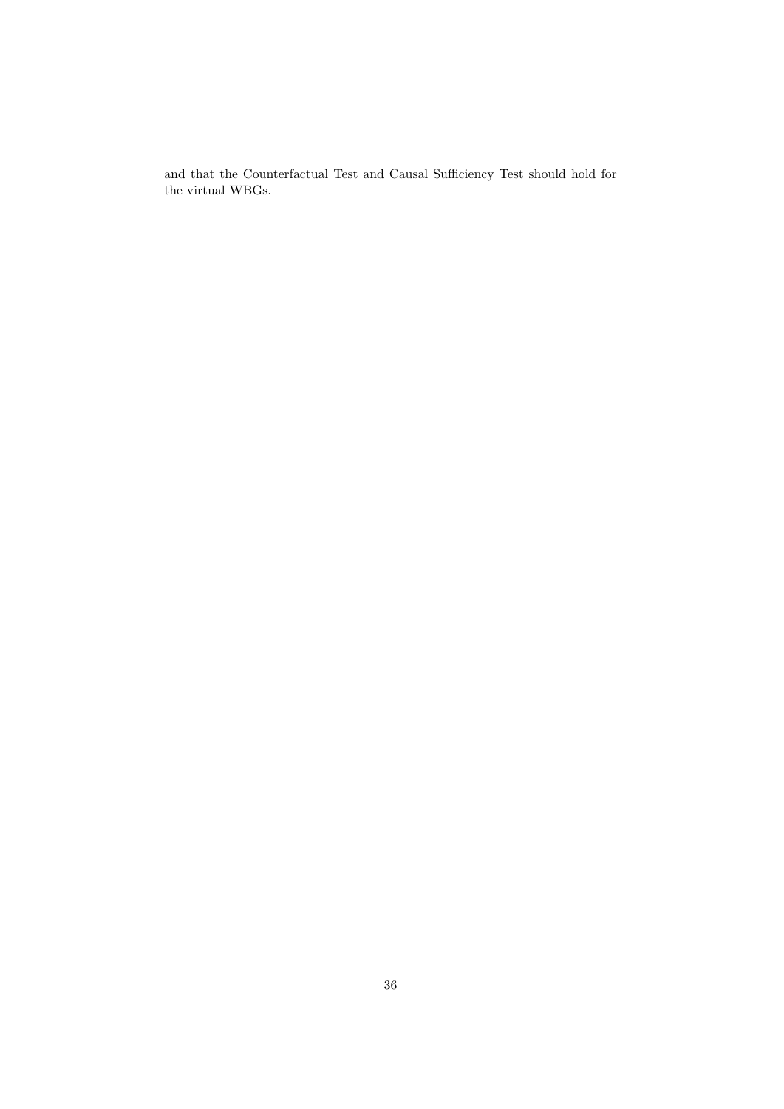and that the Counterfactual Test and Causal Sufficiency Test should hold for the virtual WBGs.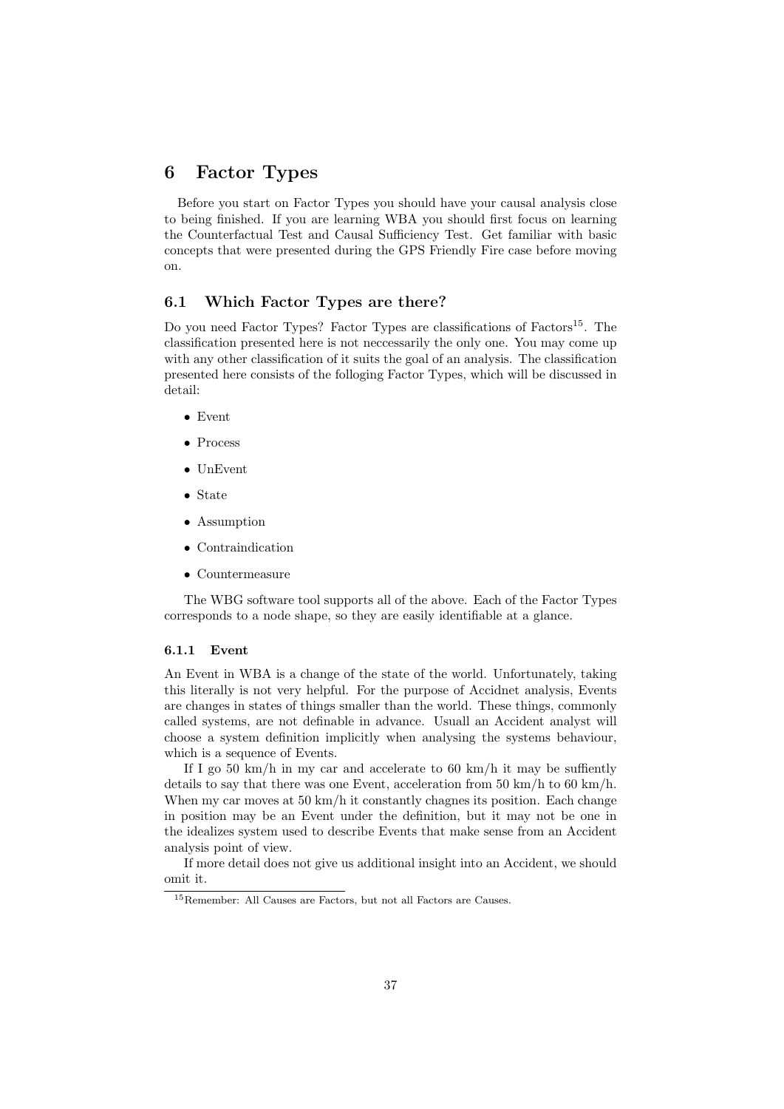# 6 Factor Types

Before you start on Factor Types you should have your causal analysis close to being finished. If you are learning WBA you should first focus on learning the Counterfactual Test and Causal Sufficiency Test. Get familiar with basic concepts that were presented during the GPS Friendly Fire case before moving on.

### 6.1 Which Factor Types are there?

Do you need Factor Types? Factor Types are classifications of Factors<sup>15</sup>. The classification presented here is not neccessarily the only one. You may come up with any other classification of it suits the goal of an analysis. The classification presented here consists of the folloging Factor Types, which will be discussed in detail:

- Event
- Process
- UnEvent
- State
- Assumption
- Contraindication
- Countermeasure

The WBG software tool supports all of the above. Each of the Factor Types corresponds to a node shape, so they are easily identifiable at a glance.

#### 6.1.1 Event

An Event in WBA is a change of the state of the world. Unfortunately, taking this literally is not very helpful. For the purpose of Accidnet analysis, Events are changes in states of things smaller than the world. These things, commonly called systems, are not definable in advance. Usuall an Accident analyst will choose a system definition implicitly when analysing the systems behaviour, which is a sequence of Events.

If I go 50 km/h in my car and accelerate to 60 km/h it may be suffiently details to say that there was one Event, acceleration from 50 km/h to 60 km/h. When my car moves at  $50 \text{ km/h}$  it constantly chagnes its position. Each change in position may be an Event under the definition, but it may not be one in the idealizes system used to describe Events that make sense from an Accident analysis point of view.

If more detail does not give us additional insight into an Accident, we should omit it.

<sup>15</sup>Remember: All Causes are Factors, but not all Factors are Causes.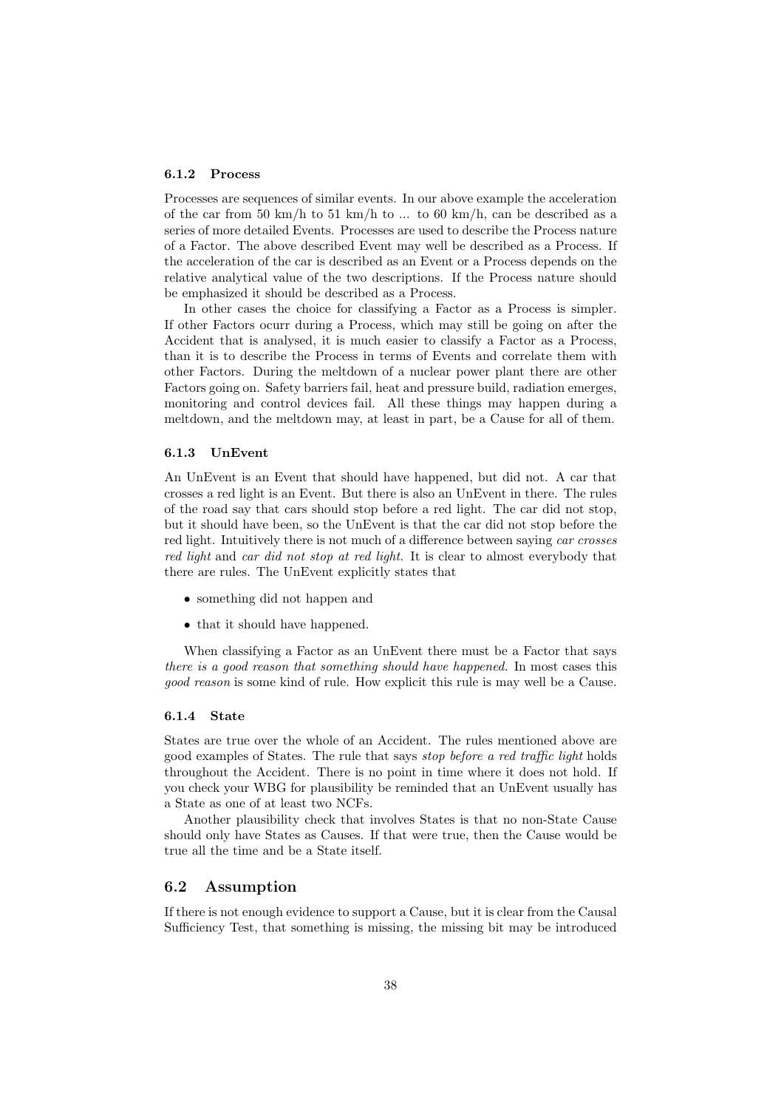#### 6.1.2 Process

Processes are sequences of similar events. In our above example the acceleration of the car from 50 km/h to 51 km/h to ... to 60 km/h, can be described as a series of more detailed Events. Processes are used to describe the Process nature of a Factor. The above described Event may well be described as a Process. If the acceleration of the car is described as an Event or a Process depends on the relative analytical value of the two descriptions. If the Process nature should be emphasized it should be described as a Process.

In other cases the choice for classifying a Factor as a Process is simpler. If other Factors ocurr during a Process, which may still be going on after the Accident that is analysed, it is much easier to classify a Factor as a Process, than it is to describe the Process in terms of Events and correlate them with other Factors. During the meltdown of a nuclear power plant there are other Factors going on. Safety barriers fail, heat and pressure build, radiation emerges, monitoring and control devices fail. All these things may happen during a meltdown, and the meltdown may, at least in part, be a Cause for all of them.

#### 6.1.3 UnEvent

An UnEvent is an Event that should have happened, but did not. A car that crosses a red light is an Event. But there is also an UnEvent in there. The rules of the road say that cars should stop before a red light. The car did not stop, but it should have been, so the UnEvent is that the car did not stop before the red light. Intuitively there is not much of a difference between saying *car crosses* red light and car did not stop at red light. It is clear to almost everybody that there are rules. The UnEvent explicitly states that

- something did not happen and
- that it should have happened.

When classifying a Factor as an UnEvent there must be a Factor that says there is a good reason that something should have happened. In most cases this good reason is some kind of rule. How explicit this rule is may well be a Cause.

#### 6.1.4 State

States are true over the whole of an Accident. The rules mentioned above are good examples of States. The rule that says stop before a red traffic light holds throughout the Accident. There is no point in time where it does not hold. If you check your WBG for plausibility be reminded that an UnEvent usually has a State as one of at least two NCFs.

Another plausibility check that involves States is that no non-State Cause should only have States as Causes. If that were true, then the Cause would be true all the time and be a State itself.

#### 6.2 Assumption

If there is not enough evidence to support a Cause, but it is clear from the Causal Sufficiency Test, that something is missing, the missing bit may be introduced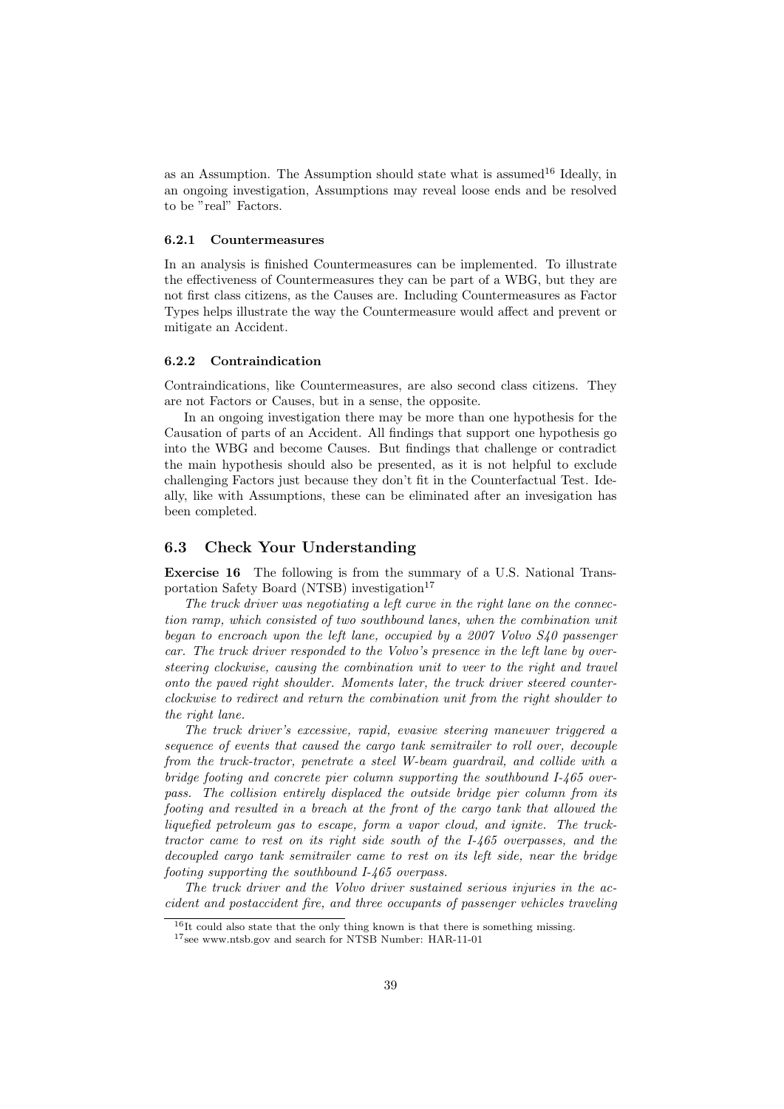as an Assumption. The Assumption should state what is assumed  $16$  Ideally, in an ongoing investigation, Assumptions may reveal loose ends and be resolved to be "real" Factors.

#### 6.2.1 Countermeasures

In an analysis is finished Countermeasures can be implemented. To illustrate the effectiveness of Countermeasures they can be part of a WBG, but they are not first class citizens, as the Causes are. Including Countermeasures as Factor Types helps illustrate the way the Countermeasure would affect and prevent or mitigate an Accident.

#### 6.2.2 Contraindication

Contraindications, like Countermeasures, are also second class citizens. They are not Factors or Causes, but in a sense, the opposite.

In an ongoing investigation there may be more than one hypothesis for the Causation of parts of an Accident. All findings that support one hypothesis go into the WBG and become Causes. But findings that challenge or contradict the main hypothesis should also be presented, as it is not helpful to exclude challenging Factors just because they don't fit in the Counterfactual Test. Ideally, like with Assumptions, these can be eliminated after an invesigation has been completed.

#### 6.3 Check Your Understanding

Exercise 16 The following is from the summary of a U.S. National Transportation Safety Board (NTSB) investigation<sup>17</sup>

The truck driver was negotiating a left curve in the right lane on the connection ramp, which consisted of two southbound lanes, when the combination unit began to encroach upon the left lane, occupied by a 2007 Volvo S40 passenger car. The truck driver responded to the Volvo's presence in the left lane by oversteering clockwise, causing the combination unit to veer to the right and travel onto the paved right shoulder. Moments later, the truck driver steered counterclockwise to redirect and return the combination unit from the right shoulder to the right lane.

The truck driver's excessive, rapid, evasive steering maneuver triggered a sequence of events that caused the cargo tank semitrailer to roll over, decouple from the truck-tractor, penetrate a steel W-beam guardrail, and collide with a bridge footing and concrete pier column supporting the southbound I-465 overpass. The collision entirely displaced the outside bridge pier column from its footing and resulted in a breach at the front of the cargo tank that allowed the liquefied petroleum gas to escape, form a vapor cloud, and ignite. The trucktractor came to rest on its right side south of the I-465 overpasses, and the decoupled cargo tank semitrailer came to rest on its left side, near the bridge footing supporting the southbound I-465 overpass.

The truck driver and the Volvo driver sustained serious injuries in the accident and postaccident fire, and three occupants of passenger vehicles traveling

<sup>16</sup>It could also state that the only thing known is that there is something missing.

<sup>17</sup>see www.ntsb.gov and search for NTSB Number: HAR-11-01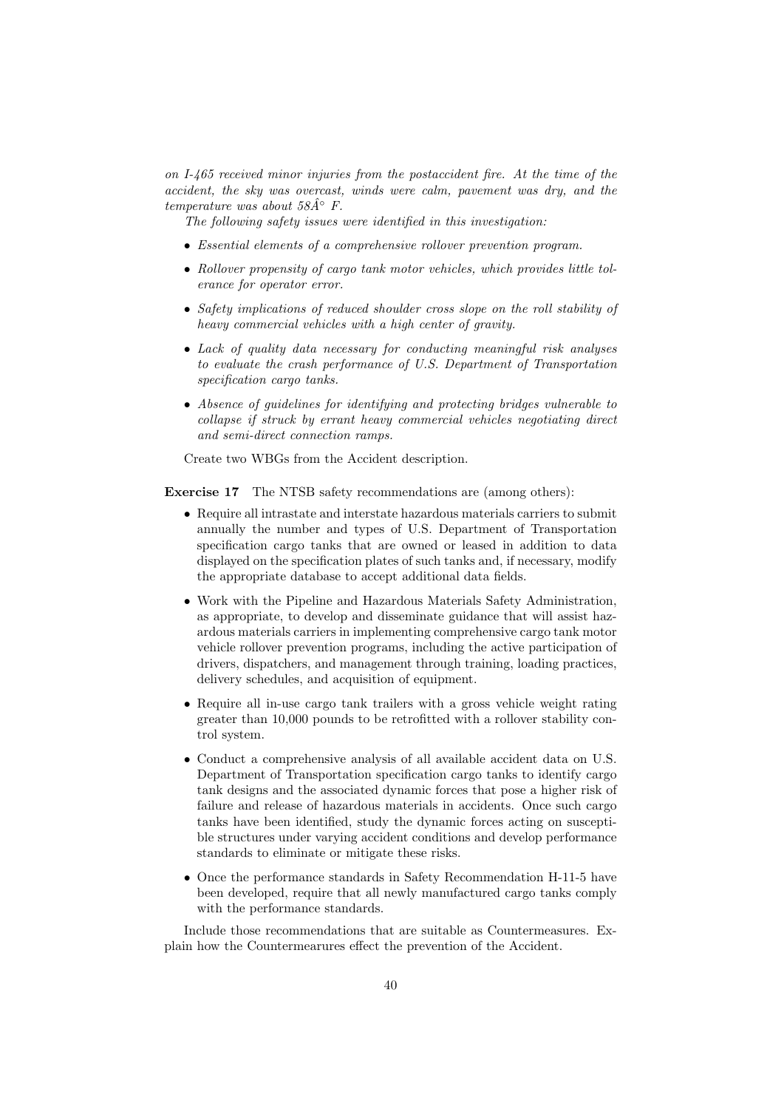on I-465 received minor injuries from the postaccident fire. At the time of the accident, the sky was overcast, winds were calm, pavement was dry, and the temperature was about  $58A<sup>°</sup>$  F.

The following safety issues were identified in this investigation:

- Essential elements of a comprehensive rollover prevention program.
- Rollover propensity of cargo tank motor vehicles, which provides little tolerance for operator error.
- Safety implications of reduced shoulder cross slope on the roll stability of heavy commercial vehicles with a high center of gravity.
- Lack of quality data necessary for conducting meaningful risk analyses to evaluate the crash performance of U.S. Department of Transportation specification cargo tanks.
- Absence of guidelines for identifying and protecting bridges vulnerable to collapse if struck by errant heavy commercial vehicles negotiating direct and semi-direct connection ramps.

Create two WBGs from the Accident description.

Exercise 17 The NTSB safety recommendations are (among others):

- Require all intrastate and interstate hazardous materials carriers to submit annually the number and types of U.S. Department of Transportation specification cargo tanks that are owned or leased in addition to data displayed on the specification plates of such tanks and, if necessary, modify the appropriate database to accept additional data fields.
- Work with the Pipeline and Hazardous Materials Safety Administration, as appropriate, to develop and disseminate guidance that will assist hazardous materials carriers in implementing comprehensive cargo tank motor vehicle rollover prevention programs, including the active participation of drivers, dispatchers, and management through training, loading practices, delivery schedules, and acquisition of equipment.
- Require all in-use cargo tank trailers with a gross vehicle weight rating greater than 10,000 pounds to be retrofitted with a rollover stability control system.
- Conduct a comprehensive analysis of all available accident data on U.S. Department of Transportation specification cargo tanks to identify cargo tank designs and the associated dynamic forces that pose a higher risk of failure and release of hazardous materials in accidents. Once such cargo tanks have been identified, study the dynamic forces acting on susceptible structures under varying accident conditions and develop performance standards to eliminate or mitigate these risks.
- Once the performance standards in Safety Recommendation H-11-5 have been developed, require that all newly manufactured cargo tanks comply with the performance standards.

Include those recommendations that are suitable as Countermeasures. Explain how the Countermearures effect the prevention of the Accident.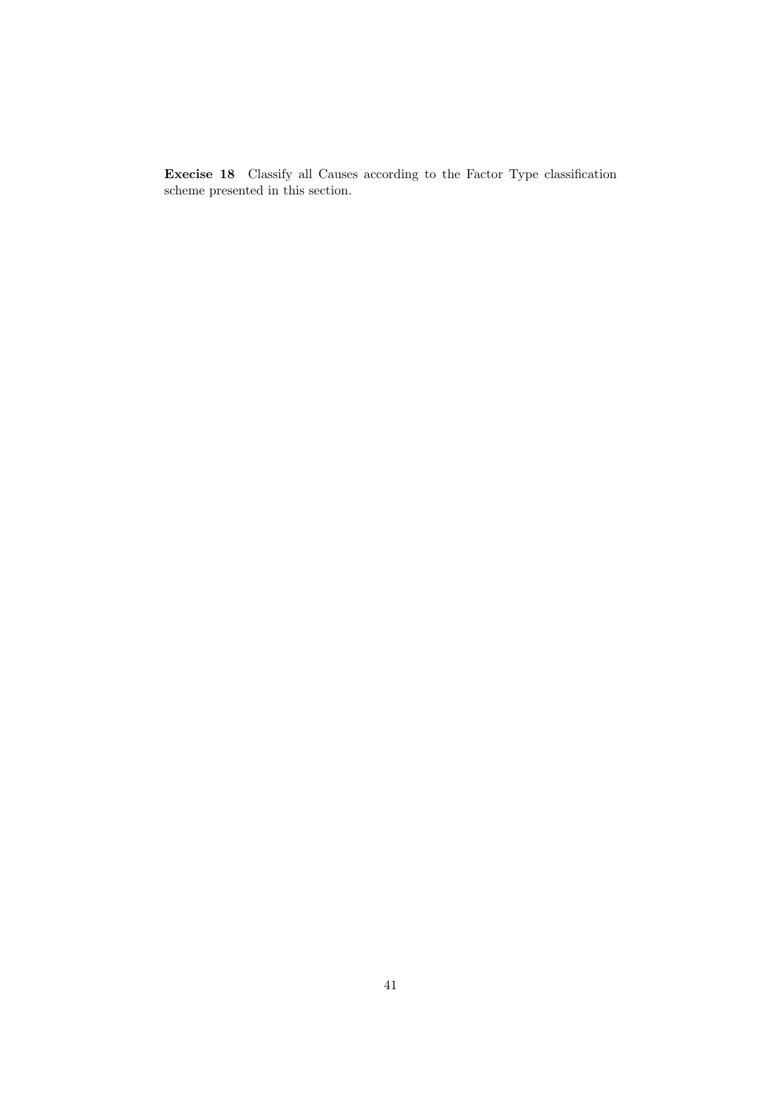Execise 18 Classify all Causes according to the Factor Type classification scheme presented in this section.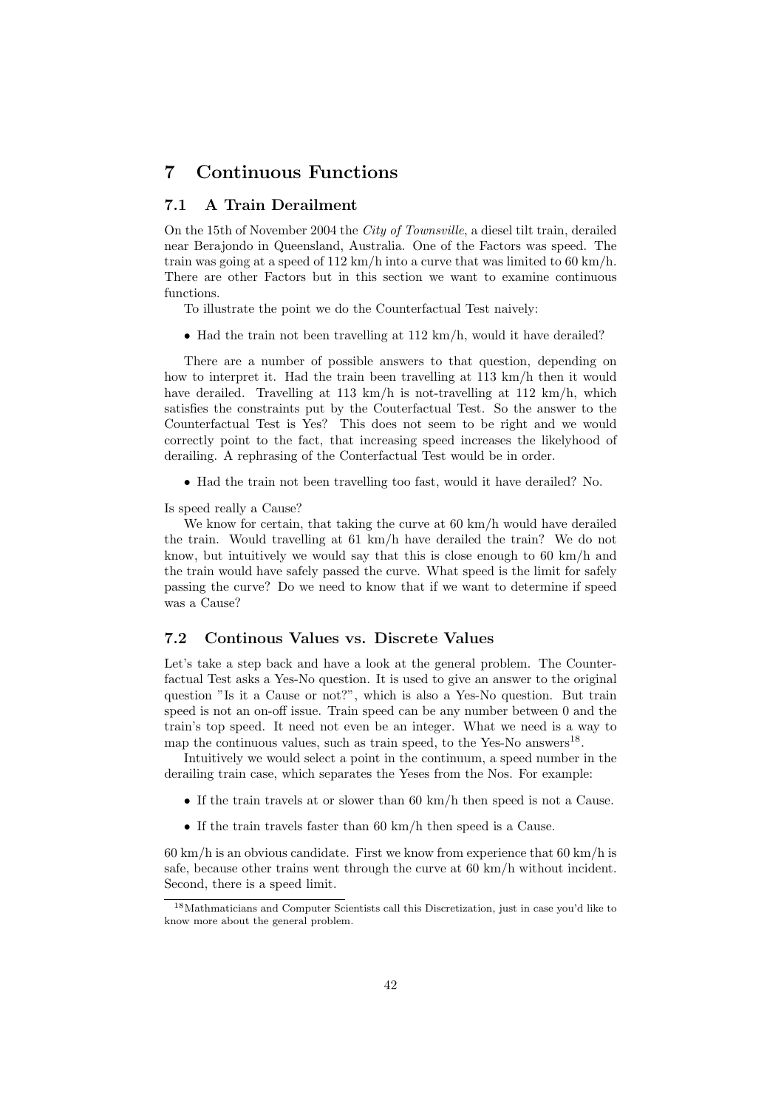# 7 Continuous Functions

### 7.1 A Train Derailment

On the 15th of November 2004 the City of Townsville, a diesel tilt train, derailed near Berajondo in Queensland, Australia. One of the Factors was speed. The train was going at a speed of  $112 \text{ km/h}$  into a curve that was limited to 60 km/h. There are other Factors but in this section we want to examine continuous functions.

To illustrate the point we do the Counterfactual Test naively:

• Had the train not been travelling at 112 km/h, would it have derailed?

There are a number of possible answers to that question, depending on how to interpret it. Had the train been travelling at 113 km/h then it would have derailed. Travelling at 113 km/h is not-travelling at 112 km/h, which satisfies the constraints put by the Couterfactual Test. So the answer to the Counterfactual Test is Yes? This does not seem to be right and we would correctly point to the fact, that increasing speed increases the likelyhood of derailing. A rephrasing of the Conterfactual Test would be in order.

• Had the train not been travelling too fast, would it have derailed? No.

Is speed really a Cause?

We know for certain, that taking the curve at 60 km/h would have derailed the train. Would travelling at 61 km/h have derailed the train? We do not know, but intuitively we would say that this is close enough to 60 km/h and the train would have safely passed the curve. What speed is the limit for safely passing the curve? Do we need to know that if we want to determine if speed was a Cause?

### 7.2 Continous Values vs. Discrete Values

Let's take a step back and have a look at the general problem. The Counterfactual Test asks a Yes-No question. It is used to give an answer to the original question "Is it a Cause or not?", which is also a Yes-No question. But train speed is not an on-off issue. Train speed can be any number between 0 and the train's top speed. It need not even be an integer. What we need is a way to map the continuous values, such as train speed, to the Yes-No answers<sup>18</sup>.

Intuitively we would select a point in the continuum, a speed number in the derailing train case, which separates the Yeses from the Nos. For example:

- If the train travels at or slower than 60 km/h then speed is not a Cause.
- If the train travels faster than 60 km/h then speed is a Cause.

 $60 \text{ km/h}$  is an obvious candidate. First we know from experience that  $60 \text{ km/h}$  is safe, because other trains went through the curve at 60 km/h without incident. Second, there is a speed limit.

<sup>18</sup>Mathmaticians and Computer Scientists call this Discretization, just in case you'd like to know more about the general problem.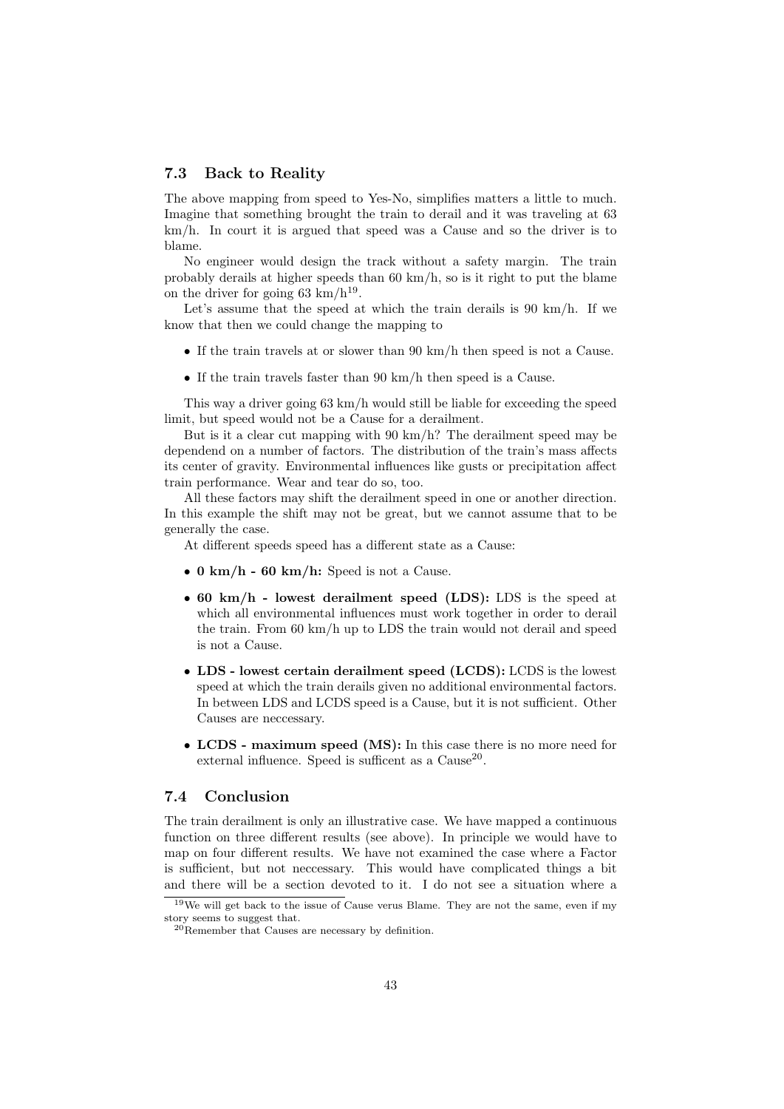#### 7.3 Back to Reality

The above mapping from speed to Yes-No, simplifies matters a little to much. Imagine that something brought the train to derail and it was traveling at 63 km/h. In court it is argued that speed was a Cause and so the driver is to blame.

No engineer would design the track without a safety margin. The train probably derails at higher speeds than 60 km/h, so is it right to put the blame on the driver for going 63 km/h<sup>19</sup>.

Let's assume that the speed at which the train derails is 90 km/h. If we know that then we could change the mapping to

- If the train travels at or slower than 90 km/h then speed is not a Cause.
- If the train travels faster than 90 km/h then speed is a Cause.

This way a driver going 63 km/h would still be liable for exceeding the speed limit, but speed would not be a Cause for a derailment.

But is it a clear cut mapping with 90 km/h? The derailment speed may be dependend on a number of factors. The distribution of the train's mass affects its center of gravity. Environmental influences like gusts or precipitation affect train performance. Wear and tear do so, too.

All these factors may shift the derailment speed in one or another direction. In this example the shift may not be great, but we cannot assume that to be generally the case.

At different speeds speed has a different state as a Cause:

- 0 km/h 60 km/h: Speed is not a Cause.
- 60 km/h lowest derailment speed (LDS): LDS is the speed at which all environmental influences must work together in order to derail the train. From 60 km/h up to LDS the train would not derail and speed is not a Cause.
- LDS lowest certain derailment speed (LCDS): LCDS is the lowest speed at which the train derails given no additional environmental factors. In between LDS and LCDS speed is a Cause, but it is not sufficient. Other Causes are neccessary.
- LCDS maximum speed (MS): In this case there is no more need for external influence. Speed is sufficent as a  $\text{Cause}^{20}$ .

### 7.4 Conclusion

The train derailment is only an illustrative case. We have mapped a continuous function on three different results (see above). In principle we would have to map on four different results. We have not examined the case where a Factor is sufficient, but not neccessary. This would have complicated things a bit and there will be a section devoted to it. I do not see a situation where a

<sup>19</sup>We will get back to the issue of Cause verus Blame. They are not the same, even if my story seems to suggest that.

 $^{20}$ Remember that Causes are necessary by definition.